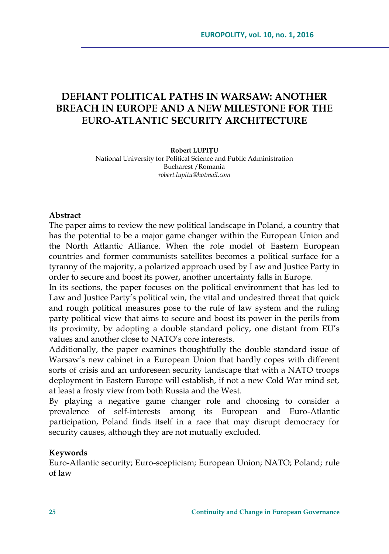# **DEFIANT POLITICAL PATHS IN WARSAW: ANOTHER BREACH IN EUROPE AND A NEW MILESTONE FOR THE EURO-ATLANTIC SECURITY ARCHITECTURE**

**Robert LUPIȚU** National University for Political Science and Public Administration Bucharest /Romania *robert.lupitu@hotmail.com*

#### **Abstract**

The paper aims to review the new political landscape in Poland, a country that has the potential to be a major game changer within the European Union and the North Atlantic Alliance. When the role model of Eastern European countries and former communists satellites becomes a political surface for a tyranny of the majority, a polarized approach used by Law and Justice Party in order to secure and boost its power, another uncertainty falls in Europe.

In its sections, the paper focuses on the political environment that has led to Law and Justice Party's political win, the vital and undesired threat that quick and rough political measures pose to the rule of law system and the ruling party political view that aims to secure and boost its power in the perils from its proximity, by adopting a double standard policy, one distant from EU's values and another close to NATO's core interests.

Additionally, the paper examines thoughtfully the double standard issue of Warsaw's new cabinet in a European Union that hardly copes with different sorts of crisis and an unforeseen security landscape that with a NATO troops deployment in Eastern Europe will establish, if not a new Cold War mind set, at least a frosty view from both Russia and the West.

By playing a negative game changer role and choosing to consider a prevalence of self-interests among its European and Euro-Atlantic participation, Poland finds itself in a race that may disrupt democracy for security causes, although they are not mutually excluded.

#### **Keywords**

Euro-Atlantic security; Euro-scepticism; European Union; NATO; Poland; rule of law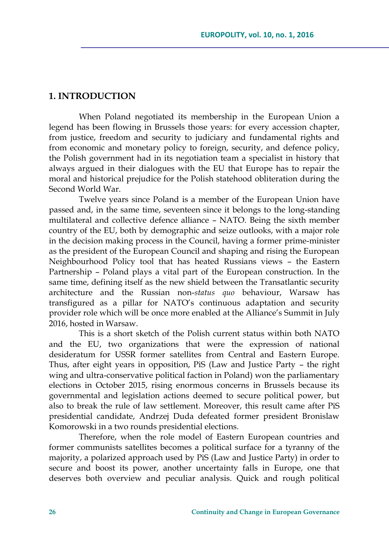### **1. INTRODUCTION**

When Poland negotiated its membership in the European Union a legend has been flowing in Brussels those years: for every accession chapter, from justice, freedom and security to judiciary and fundamental rights and from economic and monetary policy to foreign, security, and defence policy, the Polish government had in its negotiation team a specialist in history that always argued in their dialogues with the EU that Europe has to repair the moral and historical prejudice for the Polish statehood obliteration during the Second World War.

Twelve years since Poland is a member of the European Union have passed and, in the same time, seventeen since it belongs to the long-standing multilateral and collective defence alliance – NATO. Being the sixth member country of the EU, both by demographic and seize outlooks, with a major role in the decision making process in the Council, having a former prime-minister as the president of the European Council and shaping and rising the European Neighbourhood Policy tool that has heated Russians views – the Eastern Partnership – Poland plays a vital part of the European construction. In the same time, defining itself as the new shield between the Transatlantic security architecture and the Russian non-*status quo* behaviour, Warsaw has transfigured as a pillar for NATO's continuous adaptation and security provider role which will be once more enabled at the Alliance's Summit in July 2016, hosted in Warsaw.

This is a short sketch of the Polish current status within both NATO and the EU, two organizations that were the expression of national desideratum for USSR former satellites from Central and Eastern Europe. Thus, after eight years in opposition, PiS (Law and Justice Party – the right wing and ultra-conservative political faction in Poland) won the parliamentary elections in October 2015, rising enormous concerns in Brussels because its governmental and legislation actions deemed to secure political power, but also to break the rule of law settlement. Moreover, this result came after PiS presidential candidate, Andrzej Duda defeated former president Bronislaw Komorowski in a two rounds presidential elections.

Therefore, when the role model of Eastern European countries and former communists satellites becomes a political surface for a tyranny of the majority, a polarized approach used by PiS (Law and Justice Party) in order to secure and boost its power, another uncertainty falls in Europe, one that deserves both overview and peculiar analysis. Quick and rough political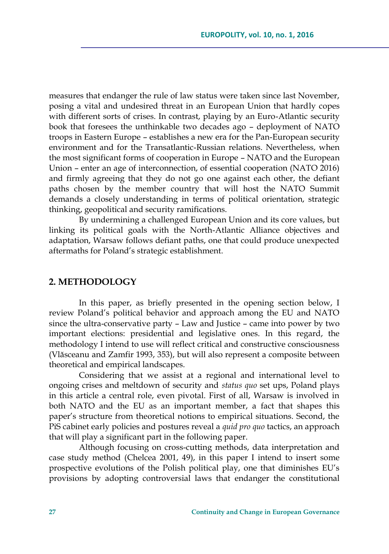measures that endanger the rule of law status were taken since last November, posing a vital and undesired threat in an European Union that hardly copes with different sorts of crises. In contrast, playing by an Euro-Atlantic security book that foresees the unthinkable two decades ago – deployment of NATO troops in Eastern Europe – establishes a new era for the Pan-European security environment and for the Transatlantic-Russian relations. Nevertheless, when the most significant forms of cooperation in Europe – NATO and the European Union – enter an age of interconnection, of essential cooperation (NATO 2016) and firmly agreeing that they do not go one against each other, the defiant paths chosen by the member country that will host the NATO Summit demands a closely understanding in terms of political orientation, strategic thinking, geopolitical and security ramifications.

By undermining a challenged European Union and its core values, but linking its political goals with the North-Atlantic Alliance objectives and adaptation, Warsaw follows defiant paths, one that could produce unexpected aftermaths for Poland's strategic establishment.

#### **2. METHODOLOGY**

In this paper, as briefly presented in the opening section below, I review Poland's political behavior and approach among the EU and NATO since the ultra-conservative party – Law and Justice – came into power by two important elections: presidential and legislative ones. In this regard, the methodology I intend to use will reflect critical and constructive consciousness (Vlăsceanu and Zamfir 1993, 353), but will also represent a composite between theoretical and empirical landscapes.

Considering that we assist at a regional and international level to ongoing crises and meltdown of security and *status quo* set ups, Poland plays in this article a central role, even pivotal. First of all, Warsaw is involved in both NATO and the EU as an important member, a fact that shapes this paper's structure from theoretical notions to empirical situations. Second, the PiS cabinet early policies and postures reveal a *quid pro quo* tactics, an approach that will play a significant part in the following paper.

Although focusing on cross-cutting methods, data interpretation and case study method (Chelcea 2001, 49), in this paper I intend to insert some prospective evolutions of the Polish political play, one that diminishes EU's provisions by adopting controversial laws that endanger the constitutional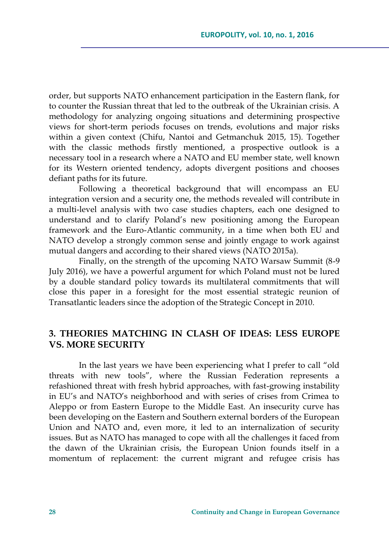order, but supports NATO enhancement participation in the Eastern flank, for to counter the Russian threat that led to the outbreak of the Ukrainian crisis. A methodology for analyzing ongoing situations and determining prospective views for short-term periods focuses on trends, evolutions and major risks within a given context (Chifu, Nantoi and Getmanchuk 2015, 15). Together with the classic methods firstly mentioned, a prospective outlook is a necessary tool in a research where a NATO and EU member state, well known for its Western oriented tendency, adopts divergent positions and chooses defiant paths for its future.

Following a theoretical background that will encompass an EU integration version and a security one, the methods revealed will contribute in a multi-level analysis with two case studies chapters, each one designed to understand and to clarify Poland's new positioning among the European framework and the Euro-Atlantic community, in a time when both EU and NATO develop a strongly common sense and jointly engage to work against mutual dangers and according to their shared views (NATO 2015a).

Finally, on the strength of the upcoming NATO Warsaw Summit (8-9 July 2016), we have a powerful argument for which Poland must not be lured by a double standard policy towards its multilateral commitments that will close this paper in a foresight for the most essential strategic reunion of Transatlantic leaders since the adoption of the Strategic Concept in 2010.

### **3. THEORIES MATCHING IN CLASH OF IDEAS: LESS EUROPE VS. MORE SECURITY**

In the last years we have been experiencing what I prefer to call "old threats with new tools", where the Russian Federation represents a refashioned threat with fresh hybrid approaches, with fast-growing instability in EU's and NATO's neighborhood and with series of crises from Crimea to Aleppo or from Eastern Europe to the Middle East. An insecurity curve has been developing on the Eastern and Southern external borders of the European Union and NATO and, even more, it led to an internalization of security issues. But as NATO has managed to cope with all the challenges it faced from the dawn of the Ukrainian crisis, the European Union founds itself in a momentum of replacement: the current migrant and refugee crisis has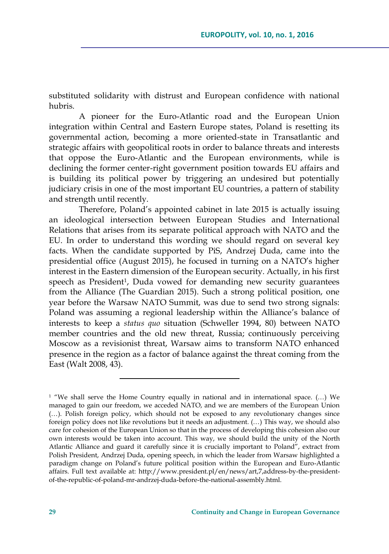substituted solidarity with distrust and European confidence with national hubris.

A pioneer for the Euro-Atlantic road and the European Union integration within Central and Eastern Europe states, Poland is resetting its governmental action, becoming a more oriented-state in Transatlantic and strategic affairs with geopolitical roots in order to balance threats and interests that oppose the Euro-Atlantic and the European environments, while is declining the former center-right government position towards EU affairs and is building its political power by triggering an undesired but potentially judiciary crisis in one of the most important EU countries, a pattern of stability and strength until recently.

Therefore, Poland's appointed cabinet in late 2015 is actually issuing an ideological intersection between European Studies and International Relations that arises from its separate political approach with NATO and the EU. In order to understand this wording we should regard on several key facts. When the candidate supported by PiS, Andrzej Duda, came into the presidential office (August 2015), he focused in turning on a NATO's higher interest in the Eastern dimension of the European security. Actually, in his first speech as President<sup>1</sup>, Duda vowed for demanding new security guarantees from the Alliance (The Guardian 2015). Such a strong political position, one year before the Warsaw NATO Summit, was due to send two strong signals: Poland was assuming a regional leadership within the Alliance's balance of interests to keep a *status quo* situation (Schweller 1994, 80) between NATO member countries and the old new threat, Russia; continuously perceiving Moscow as a revisionist threat, Warsaw aims to transform NATO enhanced presence in the region as a factor of balance against the threat coming from the East (Walt 2008, 43).

<sup>1</sup> "We shall serve the Home Country equally in national and in international space. (…) We managed to gain our freedom, we acceded NATO, and we are members of the European Union (…). Polish foreign policy, which should not be exposed to any revolutionary changes since foreign policy does not like revolutions but it needs an adjustment. (…) This way, we should also care for cohesion of the European Union so that in the process of developing this cohesion also our own interests would be taken into account. This way, we should build the unity of the North Atlantic Alliance and guard it carefully since it is crucially important to Poland", extract from Polish President, Andrzej Duda, opening speech, in which the leader from Warsaw highlighted a paradigm change on Poland's future political position within the European and Euro-Atlantic affairs. Full text available at: [http://www.president.pl/en/news/art,7,address-by-the-president](http://www.president.pl/en/news/art,7,address-by-the-president-of-the-republic-of-poland-mr-andrzej-duda-before-the-national-assembly.html)[of-the-republic-of-poland-mr-andrzej-duda-before-the-national-assembly.html.](http://www.president.pl/en/news/art,7,address-by-the-president-of-the-republic-of-poland-mr-andrzej-duda-before-the-national-assembly.html)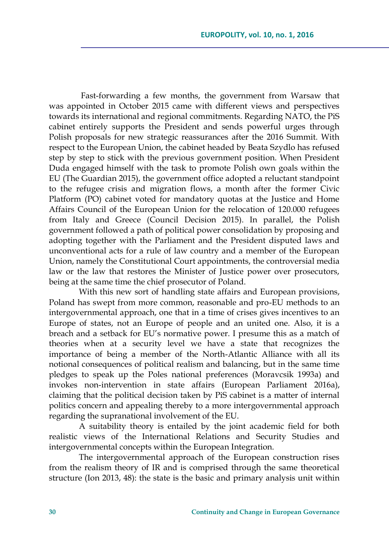Fast-forwarding a few months, the government from Warsaw that was appointed in October 2015 came with different views and perspectives towards its international and regional commitments. Regarding NATO, the PiS cabinet entirely supports the President and sends powerful urges through Polish proposals for new strategic reassurances after the 2016 Summit. With respect to the European Union, the cabinet headed by Beata Szydlo has refused step by step to stick with the previous government position. When President Duda engaged himself with the task to promote Polish own goals within the EU (The Guardian 2015), the government office adopted a reluctant standpoint to the refugee crisis and migration flows, a month after the former Civic Platform (PO) cabinet voted for mandatory quotas at the Justice and Home Affairs Council of the European Union for the relocation of 120.000 refugees from Italy and Greece (Council Decision 2015). In parallel, the Polish government followed a path of political power consolidation by proposing and adopting together with the Parliament and the President disputed laws and unconventional acts for a rule of law country and a member of the European Union, namely the Constitutional Court appointments, the controversial media law or the law that restores the Minister of Justice power over prosecutors, being at the same time the chief prosecutor of Poland.

With this new sort of handling state affairs and European provisions, Poland has swept from more common, reasonable and pro-EU methods to an intergovernmental approach, one that in a time of crises gives incentives to an Europe of states, not an Europe of people and an united one. Also, it is a breach and a setback for EU's normative power. I presume this as a match of theories when at a security level we have a state that recognizes the importance of being a member of the North-Atlantic Alliance with all its notional consequences of political realism and balancing, but in the same time pledges to speak up the Poles national preferences (Moravcsik 1993a) and invokes non-intervention in state affairs (European Parliament 2016a), claiming that the political decision taken by PiS cabinet is a matter of internal politics concern and appealing thereby to a more intergovernmental approach regarding the supranational involvement of the EU.

A suitability theory is entailed by the joint academic field for both realistic views of the International Relations and Security Studies and intergovernmental concepts within the European Integration.

The intergovernmental approach of the European construction rises from the realism theory of IR and is comprised through the same theoretical structure (Ion 2013, 48): the state is the basic and primary analysis unit within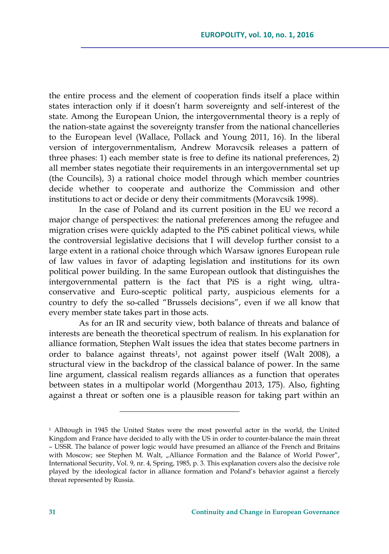the entire process and the element of cooperation finds itself a place within states interaction only if it doesn't harm sovereignty and self-interest of the state. Among the European Union, the intergovernmental theory is a reply of the nation-state against the sovereignty transfer from the national chancelleries to the European level (Wallace, Pollack and Young 2011, 16). In the liberal version of intergovernmentalism, Andrew Moravcsik releases a pattern of three phases: 1) each member state is free to define its national preferences, 2) all member states negotiate their requirements in an intergovernmental set up (the Councils), 3) a rational choice model through which member countries decide whether to cooperate and authorize the Commission and other institutions to act or decide or deny their commitments (Moravcsik 1998).

In the case of Poland and its current position in the EU we record a major change of perspectives: the national preferences among the refugee and migration crises were quickly adapted to the PiS cabinet political views, while the controversial legislative decisions that I will develop further consist to a large extent in a rational choice through which Warsaw ignores European rule of law values in favor of adapting legislation and institutions for its own political power building. In the same European outlook that distinguishes the intergovernmental pattern is the fact that PiS is a right wing, ultraconservative and Euro-sceptic political party, auspicious elements for a country to defy the so-called "Brussels decisions", even if we all know that every member state takes part in those acts.

As for an IR and security view, both balance of threats and balance of interests are beneath the theoretical spectrum of realism. In his explanation for alliance formation, Stephen Walt issues the idea that states become partners in order to balance against threats<sup>1</sup> , not against power itself (Walt 2008), a structural view in the backdrop of the classical balance of power. In the same line argument, classical realism regards alliances as a function that operates between states in a multipolar world (Morgenthau 2013, 175). Also, fighting against a threat or soften one is a plausible reason for taking part within an

<sup>1</sup> Alhtough in 1945 the United States were the most powerful actor in the world, the United Kingdom and France have decided to ally with the US in order to counter-balance the main threat – USSR. The balance of power logic would have presumed an alliance of the French and Britains with Moscow; see Stephen M. Walt, "Alliance Formation and the Balance of World Power", International Security, Vol. 9, nr. 4, Spring, 1985, p. 3. This explanation covers also the decisive role played by the ideological factor in alliance formation and Poland's behavior against a fiercely threat represented by Russia.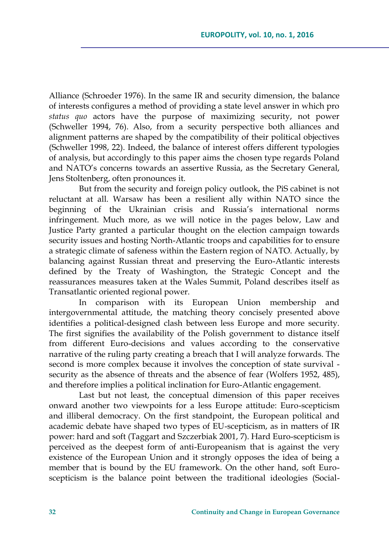Alliance (Schroeder 1976). In the same IR and security dimension, the balance of interests configures a method of providing a state level answer in which pro *status quo* actors have the purpose of maximizing security, not power (Schweller 1994, 76). Also, from a security perspective both alliances and alignment patterns are shaped by the compatibility of their political objectives (Schweller 1998, 22). Indeed, the balance of interest offers different typologies of analysis, but accordingly to this paper aims the chosen type regards Poland and NATO's concerns towards an assertive Russia, as the Secretary General, Jens Stoltenberg, often pronounces it.

But from the security and foreign policy outlook, the PiS cabinet is not reluctant at all. Warsaw has been a resilient ally within NATO since the beginning of the Ukrainian crisis and Russia's international norms infringement. Much more, as we will notice in the pages below, Law and Justice Party granted a particular thought on the election campaign towards security issues and hosting North-Atlantic troops and capabilities for to ensure a strategic climate of safeness within the Eastern region of NATO. Actually, by balancing against Russian threat and preserving the Euro-Atlantic interests defined by the Treaty of Washington, the Strategic Concept and the reassurances measures taken at the Wales Summit, Poland describes itself as Transatlantic oriented regional power.

In comparison with its European Union membership and intergovernmental attitude, the matching theory concisely presented above identifies a political-designed clash between less Europe and more security. The first signifies the availability of the Polish government to distance itself from different Euro-decisions and values according to the conservative narrative of the ruling party creating a breach that I will analyze forwards. The second is more complex because it involves the conception of state survival security as the absence of threats and the absence of fear (Wolfers 1952, 485), and therefore implies a political inclination for Euro-Atlantic engagement.

Last but not least, the conceptual dimension of this paper receives onward another two viewpoints for a less Europe attitude: Euro-scepticism and illiberal democracy. On the first standpoint, the European political and academic debate have shaped two types of EU-scepticism, as in matters of IR power: hard and soft (Taggart and Szczerbiak 2001, 7). Hard Euro-scepticism is perceived as the deepest form of anti-Europeanism that is against the very existence of the European Union and it strongly opposes the idea of being a member that is bound by the EU framework. On the other hand, soft Euroscepticism is the balance point between the traditional ideologies (Social-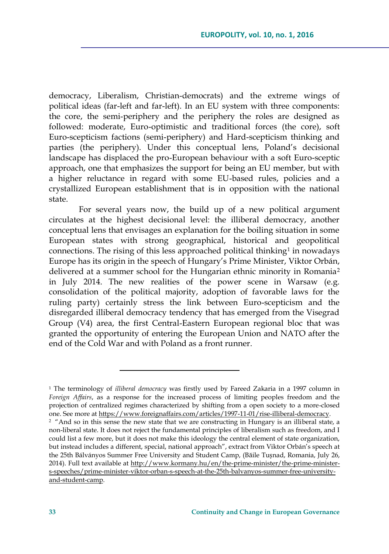democracy, Liberalism, Christian-democrats) and the extreme wings of political ideas (far-left and far-left). In an EU system with three components: the core, the semi-periphery and the periphery the roles are designed as followed: moderate, Euro-optimistic and traditional forces (the core), soft Euro-scepticism factions (semi-periphery) and Hard-scepticism thinking and parties (the periphery). Under this conceptual lens, Poland's decisional landscape has displaced the pro-European behaviour with a soft Euro-sceptic approach, one that emphasizes the support for being an EU member, but with a higher reluctance in regard with some EU-based rules, policies and a crystallized European establishment that is in opposition with the national state.

For several years now, the build up of a new political argument circulates at the highest decisional level: the illiberal democracy, another conceptual lens that envisages an explanation for the boiling situation in some European states with strong geographical, historical and geopolitical connections. The rising of this less approached political thinking<sup>1</sup> in nowadays Europe has its origin in the speech of Hungary's Prime Minister, Viktor Orbán, delivered at a summer school for the Hungarian ethnic minority in Romania<sup>2</sup> in July 2014. The new realities of the power scene in Warsaw (e.g. consolidation of the political majority, adoption of favorable laws for the ruling party) certainly stress the link between Euro-scepticism and the disregarded illiberal democracy tendency that has emerged from the Visegrad Group (V4) area, the first Central-Eastern European regional bloc that was granted the opportunity of entering the European Union and NATO after the end of the Cold War and with Poland as a front runner.

<sup>1</sup> The terminology of *illiberal democracy* was firstly used by Fareed Zakaria in a 1997 column in *Foreign Affairs*, as a response for the increased process of limiting peoples freedom and the projection of centralized regimes characterized by shifting from a open society to a more-closed one. See more at [https://www.foreignaffairs.com/articles/1997-11-01/rise-illiberal-democracy.](https://www.foreignaffairs.com/articles/1997-11-01/rise-illiberal-democracy)

<sup>&</sup>lt;sup>2</sup> "And so in this sense the new state that we are constructing in Hungary is an illiberal state, a non-liberal state. It does not reject the fundamental principles of liberalism such as freedom, and I could list a few more, but it does not make this ideology the central element of state organization, but instead includes a different, special, national approach", extract from Viktor Orbán's speech at the 25th Bálványos Summer Free University and Student Camp, (Băile Tușnad, Romania, July 26, 2014). Full text available at [http://www.kormany.hu/en/the-prime-minister/the-prime-minister](http://www.kormany.hu/en/the-prime-minister/the-prime-minister-s-speeches/prime-minister-viktor-orban-s-speech-at-the-25th-balvanyos-summer-free-university-and-student-camp)[s-speeches/prime-minister-viktor-orban-s-speech-at-the-25th-balvanyos-summer-free-university](http://www.kormany.hu/en/the-prime-minister/the-prime-minister-s-speeches/prime-minister-viktor-orban-s-speech-at-the-25th-balvanyos-summer-free-university-and-student-camp)[and-student-camp.](http://www.kormany.hu/en/the-prime-minister/the-prime-minister-s-speeches/prime-minister-viktor-orban-s-speech-at-the-25th-balvanyos-summer-free-university-and-student-camp)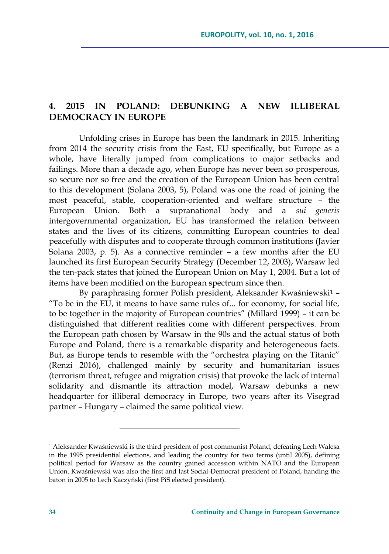# **4. 2015 IN POLAND: DEBUNKING A NEW ILLIBERAL DEMOCRACY IN EUROPE**

Unfolding crises in Europe has been the landmark in 2015. Inheriting from 2014 the security crisis from the East, EU specifically, but Europe as a whole, have literally jumped from complications to major setbacks and failings. More than a decade ago, when Europe has never been so prosperous, so secure nor so free and the creation of the European Union has been central to this development (Solana 2003, 5), Poland was one the road of joining the most peaceful, stable, cooperation-oriented and welfare structure – the European Union. Both a supranational body and a *sui generis* intergovernmental organization, EU has transformed the relation between states and the lives of its citizens, committing European countries to deal peacefully with disputes and to cooperate through common institutions (Javier Solana 2003, p. 5). As a connective reminder – a few months after the EU launched its first European Security Strategy (December 12, 2003), Warsaw led the ten-pack states that joined the European Union on May 1, 2004. But a lot of items have been modified on the European spectrum since then.

By paraphrasing former Polish president, Aleksander Kwaśniewski<sup>1</sup> -"To be in the EU, it means to have same rules of... for economy, for social life, to be together in the majority of European countries" (Millard 1999) – it can be distinguished that different realities come with different perspectives. From the European path chosen by Warsaw in the 90s and the actual status of both Europe and Poland, there is a remarkable disparity and heterogeneous facts. But, as Europe tends to resemble with the "orchestra playing on the Titanic" (Renzi 2016), challenged mainly by security and humanitarian issues (terrorism threat, refugee and migration crisis) that provoke the lack of internal solidarity and dismantle its attraction model, Warsaw debunks a new headquarter for illiberal democracy in Europe, two years after its Visegrad partner – Hungary – claimed the same political view.

<sup>1</sup> Aleksander Kwaśniewski is the third president of post communist Poland, defeating Lech Walesa in the 1995 presidential elections, and leading the country for two terms (until 2005), defining political period for Warsaw as the country gained accession within NATO and the European Union. Kwaśniewski was also the first and last Social-Democrat president of Poland, handing the baton in 2005 to Lech Kaczyński (first PiS elected president).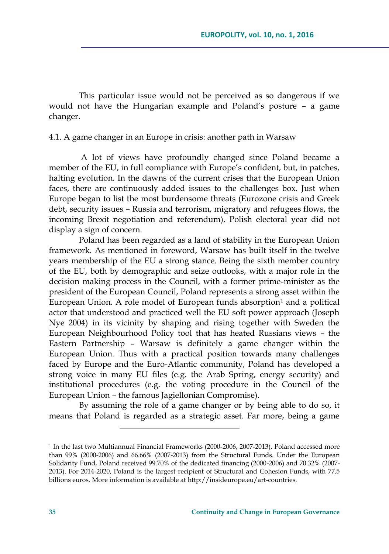This particular issue would not be perceived as so dangerous if we would not have the Hungarian example and Poland's posture – a game changer.

#### 4.1. A game changer in an Europe in crisis: another path in Warsaw

A lot of views have profoundly changed since Poland became a member of the EU, in full compliance with Europe's confident, but, in patches, halting evolution. In the dawns of the current crises that the European Union faces, there are continuously added issues to the challenges box. Just when Europe began to list the most burdensome threats (Eurozone crisis and Greek debt, security issues – Russia and terrorism, migratory and refugees flows, the incoming Brexit negotiation and referendum), Polish electoral year did not display a sign of concern.

Poland has been regarded as a land of stability in the European Union framework. As mentioned in foreword, Warsaw has built itself in the twelve years membership of the EU a strong stance. Being the sixth member country of the EU, both by demographic and seize outlooks, with a major role in the decision making process in the Council, with a former prime-minister as the president of the European Council, Poland represents a strong asset within the European Union. A role model of European funds absorption<sup>1</sup> and a political actor that understood and practiced well the EU soft power approach (Joseph Nye 2004) in its vicinity by shaping and rising together with Sweden the European Neighbourhood Policy tool that has heated Russians views – the Eastern Partnership – Warsaw is definitely a game changer within the European Union. Thus with a practical position towards many challenges faced by Europe and the Euro-Atlantic community, Poland has developed a strong voice in many EU files (e.g. the Arab Spring, energy security) and institutional procedures (e.g. the voting procedure in the Council of the European Union – the famous Jagiellonian Compromise).

By assuming the role of a game changer or by being able to do so, it means that Poland is regarded as a strategic asset. Far more, being a game

<sup>1</sup> In the last two Multiannual Financial Frameworks (2000-2006, 2007-2013), Poland accessed more than 99% (2000-2006) and 66.66% (2007-2013) from the Structural Funds. Under the European Solidarity Fund, Poland received 99.70% of the dedicated financing (2000-2006) and 70.32% (2007- 2013). For 2014-2020, Poland is the largest recipient of Structural and Cohesion Funds, with 77.5 billions euros. More information is available at [http://insideurope.eu/art-countries.](http://insideurope.eu/art-countries)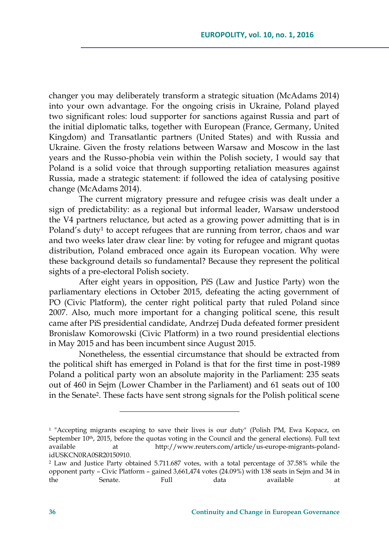changer you may deliberately transform a strategic situation (McAdams 2014) into your own advantage. For the ongoing crisis in Ukraine, Poland played two significant roles: loud supporter for sanctions against Russia and part of the initial diplomatic talks, together with European (France, Germany, United Kingdom) and Transatlantic partners (United States) and with Russia and Ukraine. Given the frosty relations between Warsaw and Moscow in the last years and the Russo-phobia vein within the Polish society, I would say that Poland is a solid voice that through supporting retaliation measures against Russia, made a strategic statement: if followed the idea of catalysing positive change (McAdams 2014).

The current migratory pressure and refugee crisis was dealt under a sign of predictability: as a regional but informal leader, Warsaw understood the V4 partners reluctance, but acted as a growing power admitting that is in Poland's duty<sup>1</sup> to accept refugees that are running from terror, chaos and war and two weeks later draw clear line: by voting for refugee and migrant quotas distribution, Poland embraced once again its European vocation. Why were these background details so fundamental? Because they represent the political sights of a pre-electoral Polish society.

After eight years in opposition, PiS (Law and Justice Party) won the parliamentary elections in October 2015, defeating the acting government of PO (Civic Platform), the center right political party that ruled Poland since 2007. Also, much more important for a changing political scene, this result came after PiS presidential candidate, Andrzej Duda defeated former president Bronislaw Komorowski (Civic Platform) in a two round presidential elections in May 2015 and has been incumbent since August 2015.

Nonetheless, the essential circumstance that should be extracted from the political shift has emerged in Poland is that for the first time in post-1989 Poland a political party won an absolute majority in the Parliament: 235 seats out of 460 in Sejm (Lower Chamber in the Parliament) and 61 seats out of 100 in the Senate<sup>2</sup> . These facts have sent strong signals for the Polish political scene

<sup>1</sup> "Accepting migrants escaping to save their lives is our duty" (Polish PM, Ewa Kopacz, on September 10<sup>th</sup>, 2015, before the quotas voting in the Council and the general elections). Full text available at [http://www.reuters.com/article/us-europe-migrants-poland](http://www.reuters.com/article/us-europe-migrants-poland-idUSKCN0RA0SR20150910)[idUSKCN0RA0SR20150910.](http://www.reuters.com/article/us-europe-migrants-poland-idUSKCN0RA0SR20150910) 

<sup>2</sup> Law and Justice Party obtained 5.711.687 votes, with a total percentage of 37.58% while the opponent party – Civic Platform – gained 3,661,474 votes (24.09%) with 138 seats in Sejm and 34 in the Senate. Full data available at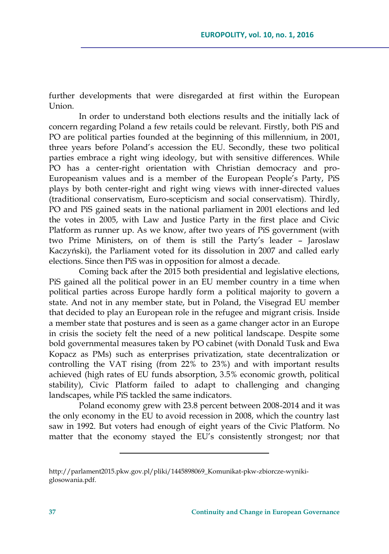further developments that were disregarded at first within the European  $Union$ 

In order to understand both elections results and the initially lack of concern regarding Poland a few retails could be relevant. Firstly, both PiS and PO are political parties founded at the beginning of this millennium, in 2001, three years before Poland's accession the EU. Secondly, these two political parties embrace a right wing ideology, but with sensitive differences. While PO has a center-right orientation with Christian democracy and pro-Europeanism values and is a member of the European People's Party, PiS plays by both center-right and right wing views with inner-directed values (traditional conservatism, Euro-scepticism and social conservatism). Thirdly, PO and PiS gained seats in the national parliament in 2001 elections and led the votes in 2005, with Law and Justice Party in the first place and Civic Platform as runner up. As we know, after two years of PiS government (with two Prime Ministers, on of them is still the Party's leader – Jaroslaw Kaczyński), the Parliament voted for its dissolution in 2007 and called early elections. Since then PiS was in opposition for almost a decade.

Coming back after the 2015 both presidential and legislative elections, PiS gained all the political power in an EU member country in a time when political parties across Europe hardly form a political majority to govern a state. And not in any member state, but in Poland, the Visegrad EU member that decided to play an European role in the refugee and migrant crisis. Inside a member state that postures and is seen as a game changer actor in an Europe in crisis the society felt the need of a new political landscape. Despite some bold governmental measures taken by PO cabinet (with Donald Tusk and Ewa Kopacz as PMs) such as enterprises privatization, state decentralization or controlling the VAT rising (from 22% to 23%) and with important results achieved (high rates of EU funds absorption, 3.5% economic growth, political stability), Civic Platform failed to adapt to challenging and changing landscapes, while PiS tackled the same indicators.

Poland economy grew with 23.8 percent between 2008-2014 and it was the only economy in the EU to avoid recession in 2008, which the country last saw in 1992. But voters had enough of eight years of the Civic Platform. No matter that the economy stayed the EU's consistently strongest; nor that

[http://parlament2015.pkw.gov.pl/pliki/1445898069\\_Komunikat-pkw-zbiorcze-wyniki](http://parlament2015.pkw.gov.pl/pliki/1445898069_Komunikat-pkw-zbiorcze-wyniki-glosowania.pdf)[glosowania.pdf.](http://parlament2015.pkw.gov.pl/pliki/1445898069_Komunikat-pkw-zbiorcze-wyniki-glosowania.pdf)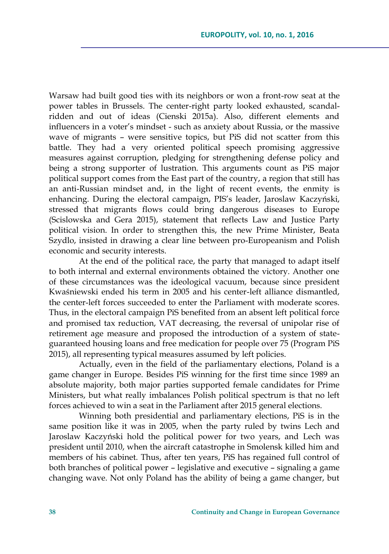Warsaw had built good ties with its neighbors or won a front-row seat at the power tables in Brussels. The center-right party looked exhausted, scandalridden and out of ideas (Cienski 2015a). Also, different elements and influencers in a voter's mindset - such as anxiety about Russia, or the massive wave of migrants – were sensitive topics, but PiS did not scatter from this battle. They had a very oriented political speech promising aggressive measures against corruption, pledging for strengthening defense policy and being a strong supporter of lustration. This arguments count as PiS major political support comes from the East part of the country, a region that still has an anti-Russian mindset and, in the light of recent events, the enmity is enhancing. During the electoral campaign, PIS's leader, Jaroslaw Kaczyński, stressed that migrants flows could bring dangerous diseases to Europe (Scislowska and Gera 2015), statement that reflects Law and Justice Party political vision. In order to strengthen this, the new Prime Minister, Beata Szydlo, insisted in drawing a clear line between pro-Europeanism and Polish economic and security interests.

At the end of the political race, the party that managed to adapt itself to both internal and external environments obtained the victory. Another one of these circumstances was the ideological vacuum, because since president Kwaśniewski ended his term in 2005 and his center-left alliance dismantled, the center-left forces succeeded to enter the Parliament with moderate scores. Thus, in the electoral campaign PiS benefited from an absent left political force and promised tax reduction, VAT decreasing, the reversal of unipolar rise of retirement age measure and proposed the introduction of a system of stateguaranteed housing loans and free medication for people over 75 (Program PiS 2015), all representing typical measures assumed by left policies.

Actually, even in the field of the parliamentary elections, Poland is a game changer in Europe. Besides PiS winning for the first time since 1989 an absolute majority, both major parties supported female candidates for Prime Ministers, but what really imbalances Polish political spectrum is that no left forces achieved to win a seat in the Parliament after 2015 general elections.

Winning both presidential and parliamentary elections, PiS is in the same position like it was in 2005, when the party ruled by twins Lech and Jaroslaw Kaczyński hold the political power for two years, and Lech was president until 2010, when the aircraft catastrophe in Smolensk killed him and members of his cabinet. Thus, after ten years, PiS has regained full control of both branches of political power – legislative and executive – signaling a game changing wave. Not only Poland has the ability of being a game changer, but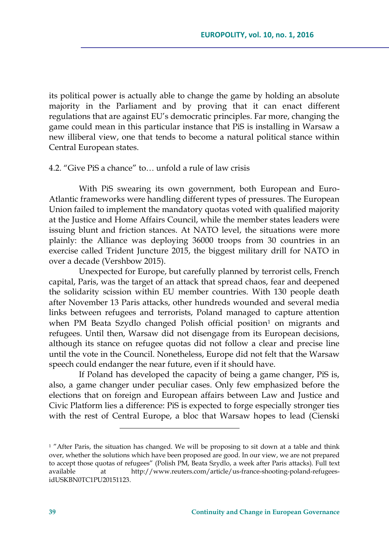its political power is actually able to change the game by holding an absolute majority in the Parliament and by proving that it can enact different regulations that are against EU's democratic principles. Far more, changing the game could mean in this particular instance that PiS is installing in Warsaw a new illiberal view, one that tends to become a natural political stance within Central European states.

### 4.2. "Give PiS a chance" to… unfold a rule of law crisis

With PiS swearing its own government, both European and Euro-Atlantic frameworks were handling different types of pressures. The European Union failed to implement the mandatory quotas voted with qualified majority at the Justice and Home Affairs Council, while the member states leaders were issuing blunt and friction stances. At NATO level, the situations were more plainly: the Alliance was deploying 36000 troops from 30 countries in an exercise called Trident Juncture 2015, the biggest military drill for NATO in over a decade (Vershbow 2015).

Unexpected for Europe, but carefully planned by terrorist cells, French capital, Paris, was the target of an attack that spread chaos, fear and deepened the solidarity scission within EU member countries. With 130 people death after November 13 Paris attacks, other hundreds wounded and several media links between refugees and terrorists, Poland managed to capture attention when PM Beata Szydlo changed Polish official position<sup>1</sup> on migrants and refugees. Until then, Warsaw did not disengage from its European decisions, although its stance on refugee quotas did not follow a clear and precise line until the vote in the Council. Nonetheless, Europe did not felt that the Warsaw speech could endanger the near future, even if it should have.

If Poland has developed the capacity of being a game changer, PiS is, also, a game changer under peculiar cases. Only few emphasized before the elections that on foreign and European affairs between Law and Justice and Civic Platform lies a difference: PiS is expected to forge especially stronger ties with the rest of Central Europe, a bloc that Warsaw hopes to lead (Cienski

<sup>&</sup>lt;sup>1</sup> "After Paris, the situation has changed. We will be proposing to sit down at a table and think over, whether the solutions which have been proposed are good. In our view, we are not prepared to accept those quotas of refugees" (Polish PM, Beata Szydlo, a week after Paris attacks). Full text available at [http://www.reuters.com/article/us-france-shooting-poland-refugees](http://www.reuters.com/article/us-france-shooting-poland-refugees-idUSKBN0TC1PU20151123)[idUSKBN0TC1PU20151123.](http://www.reuters.com/article/us-france-shooting-poland-refugees-idUSKBN0TC1PU20151123)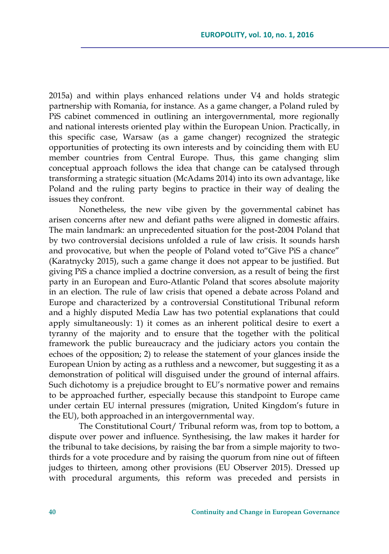2015a) and within plays enhanced relations under V4 and holds strategic partnership with Romania, for instance. As a game changer, a Poland ruled by PiS cabinet commenced in outlining an intergovernmental, more regionally and national interests oriented play within the European Union. Practically, in this specific case, Warsaw (as a game changer) recognized the strategic opportunities of protecting its own interests and by coinciding them with EU member countries from Central Europe. Thus, this game changing slim conceptual approach follows the idea that change can be catalysed through transforming a strategic situation (McAdams 2014) into its own advantage, like Poland and the ruling party begins to practice in their way of dealing the issues they confront.

Nonetheless, the new vibe given by the governmental cabinet has arisen concerns after new and defiant paths were aligned in domestic affairs. The main landmark: an unprecedented situation for the post-2004 Poland that by two controversial decisions unfolded a rule of law crisis. It sounds harsh and provocative, but when the people of Poland voted to"Give PiS a chance" (Karatnycky 2015), such a game change it does not appear to be justified. But giving PiS a chance implied a doctrine conversion, as a result of being the first party in an European and Euro-Atlantic Poland that scores absolute majority in an election. The rule of law crisis that opened a debate across Poland and Europe and characterized by a controversial Constitutional Tribunal reform and a highly disputed Media Law has two potential explanations that could apply simultaneously: 1) it comes as an inherent political desire to exert a tyranny of the majority and to ensure that the together with the political framework the public bureaucracy and the judiciary actors you contain the echoes of the opposition; 2) to release the statement of your glances inside the European Union by acting as a ruthless and a newcomer, but suggesting it as a demonstration of political will disguised under the ground of internal affairs. Such dichotomy is a prejudice brought to EU's normative power and remains to be approached further, especially because this standpoint to Europe came under certain EU internal pressures (migration, United Kingdom's future in the EU), both approached in an intergovernmental way.

The Constitutional Court/ Tribunal reform was, from top to bottom, a dispute over power and influence. Synthesising, the law makes it harder for the tribunal to take decisions, by raising the bar from a simple majority to twothirds for a vote procedure and by raising the quorum from nine out of fifteen judges to thirteen, among other provisions (EU Observer 2015). Dressed up with procedural arguments, this reform was preceded and persists in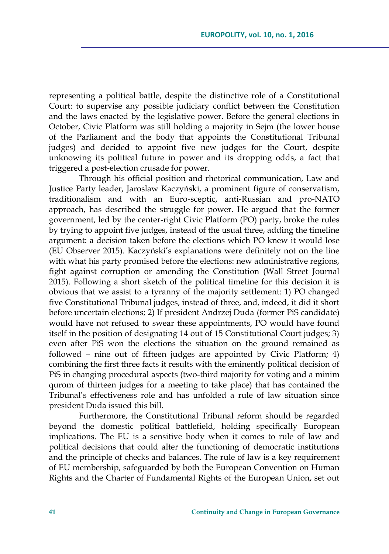representing a political battle, despite the distinctive role of a Constitutional Court: to supervise any possible judiciary conflict between the Constitution and the laws enacted by the legislative power. Before the general elections in October, Civic Platform was still holding a majority in Sejm (the lower house of the Parliament and the body that appoints the Constitutional Tribunal judges) and decided to appoint five new judges for the Court, despite unknowing its political future in power and its dropping odds, a fact that triggered a post-election crusade for power.

Through his official position and rhetorical communication, Law and Justice Party leader, Jaroslaw Kaczyński, a prominent figure of conservatism, traditionalism and with an Euro-sceptic, anti-Russian and pro-NATO approach, has described the struggle for power. He argued that the former government, led by the center-right Civic Platform (PO) party, broke the rules by trying to appoint five judges, instead of the usual three, adding the timeline argument: a decision taken before the elections which PO knew it would lose (EU Observer 2015). Kaczyński's explanations were definitely not on the line with what his party promised before the elections: new administrative regions, fight against corruption or amending the Constitution (Wall Street Journal 2015). Following a short sketch of the political timeline for this decision it is obvious that we assist to a tyranny of the majority settlement: 1) PO changed five Constitutional Tribunal judges, instead of three, and, indeed, it did it short before uncertain elections; 2) If president Andrzej Duda (former PiS candidate) would have not refused to swear these appointments, PO would have found itself in the position of designating 14 out of 15 Constitutional Court judges; 3) even after PiS won the elections the situation on the ground remained as followed – nine out of fifteen judges are appointed by Civic Platform; 4) combining the first three facts it results with the eminently political decision of PiS in changing procedural aspects (two-third majority for voting and a minim qurom of thirteen judges for a meeting to take place) that has contained the Tribunal's effectiveness role and has unfolded a rule of law situation since president Duda issued this bill.

Furthermore, the Constitutional Tribunal reform should be regarded beyond the domestic political battlefield, holding specifically European implications. The EU is a sensitive body when it comes to rule of law and political decisions that could alter the functioning of democratic institutions and the principle of checks and balances. The rule of law is a key requirement of EU membership, safeguarded by both the European Convention on Human Rights and the Charter of Fundamental Rights of the European Union, set out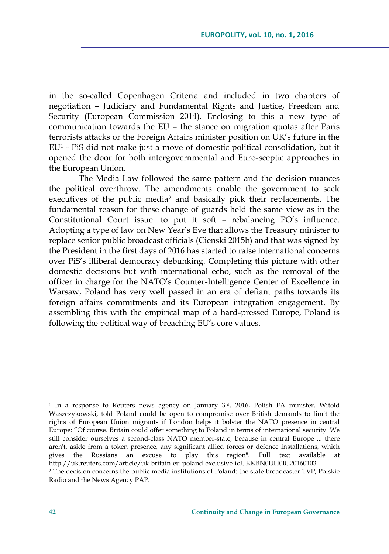in the so-called Copenhagen Criteria and included in two chapters of negotiation – Judiciary and Fundamental Rights and Justice, Freedom and Security (European Commission 2014). Enclosing to this a new type of communication towards the EU – the stance on migration quotas after Paris terrorists attacks or the Foreign Affairs minister position on UK's future in the EU<sup>1</sup> - PiS did not make just a move of domestic political consolidation, but it opened the door for both intergovernmental and Euro-sceptic approaches in the European Union.

The Media Law followed the same pattern and the decision nuances the political overthrow. The amendments enable the government to sack executives of the public media<sup>2</sup> and basically pick their replacements. The fundamental reason for these change of guards held the same view as in the Constitutional Court issue: to put it soft – rebalancing PO's influence. Adopting a type of law on New Year's Eve that allows the Treasury minister to replace senior public broadcast officials (Cienski 2015b) and that was signed by the President in the first days of 2016 has started to raise international concerns over PiS's illiberal democracy debunking. Completing this picture with other domestic decisions but with international echo, such as the removal of the officer in charge for the NATO's Counter-Intelligence Center of Excellence in Warsaw, Poland has very well passed in an era of defiant paths towards its foreign affairs commitments and its European integration engagement. By assembling this with the empirical map of a hard-pressed Europe, Poland is following the political way of breaching EU's core values.

<sup>&</sup>lt;sup>1</sup> In a response to Reuters news agency on January 3<sup>rd</sup>, 2016, Polish FA minister, Witold Waszczykowski, told Poland could be open to compromise over British demands to limit the rights of European Union migrants if London helps it bolster the NATO presence in central Europe: "Of course. Britain could offer something to Poland in terms of international security. We still consider ourselves a second-class NATO member-state, because in central Europe ... there aren't, aside from a token presence, any significant allied forces or defence installations, which gives the Russians an excuse to play this region". Full text available at [http://uk.reuters.com/article/uk-britain-eu-poland-exclusive-idUKKBN0UH0IG20160103.](http://uk.reuters.com/article/uk-britain-eu-poland-exclusive-idUKKBN0UH0IG20160103)  <sup>2</sup> The decision concerns the public media institutions of Poland: the state broadcaster TVP, Polskie Radio and the News Agency PAP.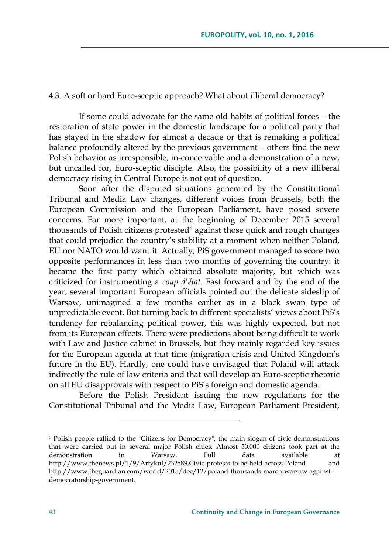#### 4.3. A soft or hard Euro-sceptic approach? What about illiberal democracy?

If some could advocate for the same old habits of political forces – the restoration of state power in the domestic landscape for a political party that has stayed in the shadow for almost a decade or that is remaking a political balance profoundly altered by the previous government – others find the new Polish behavior as irresponsible, in-conceivable and a demonstration of a new, but uncalled for, Euro-sceptic disciple. Also, the possibility of a new illiberal democracy rising in Central Europe is not out of question.

Soon after the disputed situations generated by the Constitutional Tribunal and Media Law changes, different voices from Brussels, both the European Commission and the European Parliament, have posed severe concerns. Far more important, at the beginning of December 2015 several thousands of Polish citizens protested<sup>1</sup> against those quick and rough changes that could prejudice the country's stability at a moment when neither Poland, EU nor NATO would want it. Actually, PiS government managed to score two opposite performances in less than two months of governing the country: it became the first party which obtained absolute majority, but which was criticized for instrumenting a *coup d'état*. Fast forward and by the end of the year, several important European officials pointed out the delicate sideslip of Warsaw, unimagined a few months earlier as in a black swan type of unpredictable event. But turning back to different specialists' views about PiS's tendency for rebalancing political power, this was highly expected, but not from its European effects. There were predictions about being difficult to work with Law and Justice cabinet in Brussels, but they mainly regarded key issues for the European agenda at that time (migration crisis and United Kingdom's future in the EU). Hardly, one could have envisaged that Poland will attack indirectly the rule of law criteria and that will develop an Euro-sceptic rhetoric on all EU disapprovals with respect to PiS's foreign and domestic agenda.

Before the Polish President issuing the new regulations for the Constitutional Tribunal and the Media Law, European Parliament President,

<sup>1</sup> Polish people rallied to the "Citizens for Democracy", the main slogan of civic demonstrations that were carried out in several major Polish cities. Almost 50.000 citizens took part at the demonstration in Warsaw. Full data available at <http://www.thenews.pl/1/9/Artykul/232589,Civic-protests-to-be-held-across-Poland> and [http://www.theguardian.com/world/2015/dec/12/poland-thousands-march-warsaw-against](http://www.theguardian.com/world/2015/dec/12/poland-thousands-march-warsaw-against-democratorship-government)[democratorship-government.](http://www.theguardian.com/world/2015/dec/12/poland-thousands-march-warsaw-against-democratorship-government)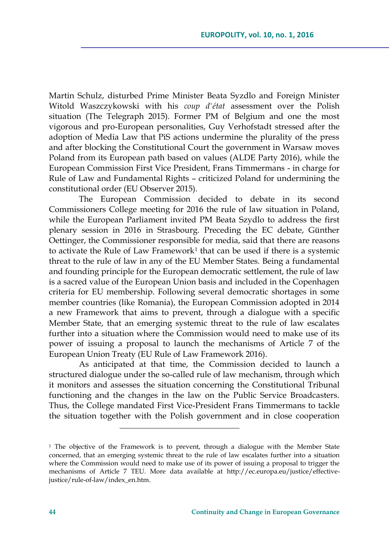Martin Schulz, disturbed Prime Minister Beata Syzdlo and Foreign Minister Witold Waszczykowski with his *coup d'état* assessment over the Polish situation (The Telegraph 2015). Former PM of Belgium and one the most vigorous and pro-European personalities, Guy Verhofstadt stressed after the adoption of Media Law that PiS actions undermine the plurality of the press and after blocking the Constitutional Court the government in Warsaw moves Poland from its European path based on values (ALDE Party 2016), while the European Commission First Vice President, Frans Timmermans - in charge for Rule of Law and Fundamental Rights – criticized Poland for undermining the constitutional order (EU Observer 2015).

The European Commission decided to debate in its second Commissioners College meeting for 2016 the rule of law situation in Poland, while the European Parliament invited PM Beata Szydlo to address the first plenary session in 2016 in Strasbourg. Preceding the EC debate, Günther Oettinger, the Commissioner responsible for media, said that there are reasons to activate the Rule of Law Framework<sup>1</sup> that can be used if there is a systemic threat to the rule of law in any of the EU Member States. Being a fundamental and founding principle for the European democratic settlement, the rule of law is a sacred value of the European Union basis and included in the Copenhagen criteria for EU membership. Following several democratic shortages in some member countries (like Romania), the European Commission adopted in 2014 a new Framework that aims to prevent, through a dialogue with a specific Member State, that an emerging systemic threat to the rule of law escalates further into a situation where the Commission would need to make use of its power of issuing a proposal to launch the mechanisms of Article 7 of the European Union Treaty (EU Rule of Law Framework 2016).

As anticipated at that time, the Commission decided to launch a structured dialogue under the so-called rule of law mechanism, through which it monitors and assesses the situation concerning the Constitutional Tribunal functioning and the changes in the law on the Public Service Broadcasters. Thus, the College mandated First Vice-President Frans Timmermans to tackle the situation together with the Polish government and in close cooperation

<sup>&</sup>lt;sup>1</sup> The objective of the Framework is to prevent, through a dialogue with the Member State concerned, that an emerging systemic threat to the rule of law escalates further into a situation where the Commission would need to make use of its power of issuing a proposal to trigger the mechanisms of Article 7 TEU. More data available at [http://ec.europa.eu/justice/effective](http://ec.europa.eu/justice/effective-justice/rule-of-law/index_en.htm)[justice/rule-of-law/index\\_en.htm.](http://ec.europa.eu/justice/effective-justice/rule-of-law/index_en.htm)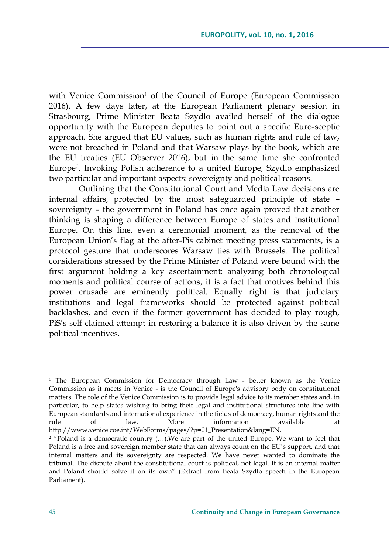with Venice Commission<sup>1</sup> of the Council of Europe (European Commission 2016). A few days later, at the European Parliament plenary session in Strasbourg, Prime Minister Beata Szydlo availed herself of the dialogue opportunity with the European deputies to point out a specific Euro-sceptic approach. She argued that EU values, such as human rights and rule of law, were not breached in Poland and that Warsaw plays by the book, which are the EU treaties (EU Observer 2016), but in the same time she confronted Europe<sup>2</sup> . Invoking Polish adherence to a united Europe, Szydlo emphasized two particular and important aspects: sovereignty and political reasons.

Outlining that the Constitutional Court and Media Law decisions are internal affairs, protected by the most safeguarded principle of state – sovereignty – the government in Poland has once again proved that another thinking is shaping a difference between Europe of states and institutional Europe. On this line, even a ceremonial moment, as the removal of the European Union's flag at the after-Pis cabinet meeting press statements, is a protocol gesture that underscores Warsaw ties with Brussels. The political considerations stressed by the Prime Minister of Poland were bound with the first argument holding a key ascertainment: analyzing both chronological moments and political course of actions, it is a fact that motives behind this power crusade are eminently political. Equally right is that judiciary institutions and legal frameworks should be protected against political backlashes, and even if the former government has decided to play rough, PiS's self claimed attempt in restoring a balance it is also driven by the same political incentives.

<sup>1</sup> The European Commission for Democracy through Law - better known as the Venice Commission as it meets in Venice - is the Council of Europe's advisory body on constitutional matters. The role of the Venice Commission is to provide legal advice to its member states and, in particular, to help states wishing to bring their legal and institutional structures into line with European standards and international experience in the fields of democracy, human rights and the rule of law. More information available [http://www.venice.coe.int/WebForms/pages/?p=01\\_Presentation&lang=EN.](http://www.venice.coe.int/WebForms/pages/?p=01_Presentation&lang=EN) 

<sup>&</sup>lt;sup>2</sup> "Poland is a democratic country  $(...)$ . We are part of the united Europe. We want to feel that Poland is a free and sovereign member state that can always count on the EU's support, and that internal matters and its sovereignty are respected. We have never wanted to dominate the tribunal. The dispute about the constitutional court is political, not legal. It is an internal matter and Poland should solve it on its own" (Extract from Beata Szydlo speech in the European Parliament).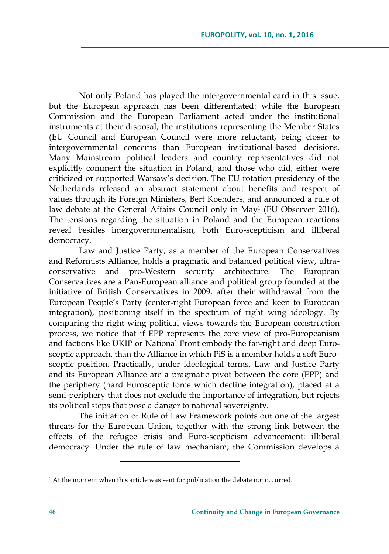Not only Poland has played the intergovernmental card in this issue, but the European approach has been differentiated: while the European Commission and the European Parliament acted under the institutional instruments at their disposal, the institutions representing the Member States (EU Council and European Council were more reluctant, being closer to intergovernmental concerns than European institutional-based decisions. Many Mainstream political leaders and country representatives did not explicitly comment the situation in Poland, and those who did, either were criticized or supported Warsaw's decision. The EU rotation presidency of the Netherlands released an abstract statement about benefits and respect of values through its Foreign Ministers, Bert Koenders, and announced a rule of law debate at the General Affairs Council only in May<sup>1</sup> (EU Observer 2016). The tensions regarding the situation in Poland and the European reactions reveal besides intergovernmentalism, both Euro-scepticism and illiberal democracy.

Law and Justice Party, as a member of the European Conservatives and Reformists Alliance, holds a pragmatic and balanced political view, ultraconservative and pro-Western security architecture. The European Conservatives are a Pan-European alliance and political group founded at the initiative of British Conservatives in 2009, after their withdrawal from the European People's Party (center-right European force and keen to European integration), positioning itself in the spectrum of right wing ideology. By comparing the right wing political views towards the European construction process, we notice that if EPP represents the core view of pro-Europeanism and factions like UKIP or National Front embody the far-right and deep Eurosceptic approach, than the Alliance in which PiS is a member holds a soft Eurosceptic position. Practically, under ideological terms, Law and Justice Party and its European Alliance are a pragmatic pivot between the core (EPP) and the periphery (hard Eurosceptic force which decline integration), placed at a semi-periphery that does not exclude the importance of integration, but rejects its political steps that pose a danger to national sovereignty.

The initiation of Rule of Law Framework points out one of the largest threats for the European Union, together with the strong link between the effects of the refugee crisis and Euro-scepticism advancement: illiberal democracy. Under the rule of law mechanism, the Commission develops a

<sup>&</sup>lt;sup>1</sup> At the moment when this article was sent for publication the debate not occurred.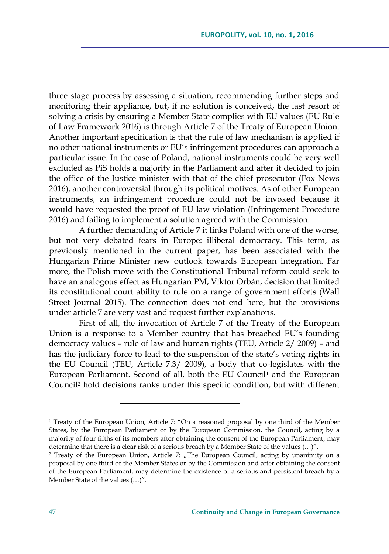three stage process by assessing a situation, recommending further steps and monitoring their appliance, but, if no solution is conceived, the last resort of solving a crisis by ensuring a Member State complies with EU values (EU Rule of Law Framework 2016) is through Article 7 of the Treaty of European Union. Another important specification is that the rule of law mechanism is applied if no other national instruments or EU's infringement procedures can approach a particular issue. In the case of Poland, national instruments could be very well excluded as PiS holds a majority in the Parliament and after it decided to join the office of the Justice minister with that of the chief prosecutor (Fox News 2016), another controversial through its political motives. As of other European instruments, an infringement procedure could not be invoked because it would have requested the proof of EU law violation (Infringement Procedure 2016) and failing to implement a solution agreed with the Commission.

A further demanding of Article 7 it links Poland with one of the worse, but not very debated fears in Europe: illiberal democracy. This term, as previously mentioned in the current paper, has been associated with the Hungarian Prime Minister new outlook towards European integration. Far more, the Polish move with the Constitutional Tribunal reform could seek to have an analogous effect as Hungarian PM, Viktor Orbán, decision that limited its constitutional court ability to rule on a range of government efforts (Wall Street Journal 2015). The connection does not end here, but the provisions under article 7 are very vast and request further explanations.

First of all, the invocation of Article 7 of the Treaty of the European Union is a response to a Member country that has breached EU's founding democracy values – rule of law and human rights (TEU, Article 2/ 2009) – and has the judiciary force to lead to the suspension of the state's voting rights in the EU Council (TEU, Article 7.3/ 2009), a body that co-legislates with the European Parliament. Second of all, both the EU Council<sup>1</sup> and the European Council<sup>2</sup> hold decisions ranks under this specific condition, but with different

<sup>1</sup> Treaty of the European Union, Article 7: "On a reasoned proposal by one third of the Member States, by the European Parliament or by the European Commission, the Council, acting by a majority of four fifths of its members after obtaining the consent of the European Parliament, may determine that there is a clear risk of a serious breach by a Member State of the values (…)".

<sup>&</sup>lt;sup>2</sup> Treaty of the European Union, Article 7: "The European Council, acting by unanimity on a proposal by one third of the Member States or by the Commission and after obtaining the consent of the European Parliament, may determine the existence of a serious and persistent breach by a Member State of the values (…)".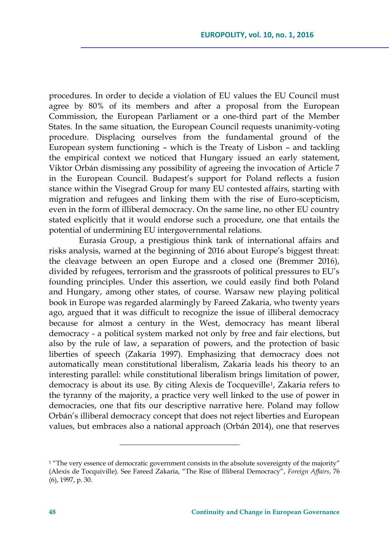procedures. In order to decide a violation of EU values the EU Council must agree by 80% of its members and after a proposal from the European Commission, the European Parliament or a one-third part of the Member States. In the same situation, the European Council requests unanimity-voting procedure. Displacing ourselves from the fundamental ground of the European system functioning – which is the Treaty of Lisbon – and tackling the empirical context we noticed that Hungary issued an early statement, Viktor Orbán dismissing any possibility of agreeing the invocation of Article 7 in the European Council. Budapest's support for Poland reflects a fusion stance within the Visegrad Group for many EU contested affairs, starting with migration and refugees and linking them with the rise of Euro-scepticism, even in the form of illiberal democracy. On the same line, no other EU country stated explicitly that it would endorse such a procedure, one that entails the potential of undermining EU intergovernmental relations.

Eurasia Group, a prestigious think tank of international affairs and risks analysis, warned at the beginning of 2016 about Europe's biggest threat: the cleavage between an open Europe and a closed one (Bremmer 2016), divided by refugees, terrorism and the grassroots of political pressures to EU's founding principles. Under this assertion, we could easily find both Poland and Hungary, among other states, of course. Warsaw new playing political book in Europe was regarded alarmingly by Fareed Zakaria, who twenty years ago, argued that it was difficult to recognize the issue of illiberal democracy because for almost a century in the West, democracy has meant liberal democracy - a political system marked not only by free and fair elections, but also by the rule of law, a separation of powers, and the protection of basic liberties of speech (Zakaria 1997). Emphasizing that democracy does not automatically mean constitutional liberalism, Zakaria leads his theory to an interesting parallel: while constitutional liberalism brings limitation of power, democracy is about its use. By citing Alexis de Tocqueville<sup>1</sup>, Zakaria refers to the tyranny of the majority, a practice very well linked to the use of power in democracies, one that fits our descriptive narrative here. Poland may follow Orbán's illiberal democracy concept that does not reject liberties and European values, but embraces also a national approach (Orbán 2014), one that reserves

 $1$  "The very essence of democratic government consists in the absolute sovereignty of the majority" (Alexis de Tocquiville). See Fareed Zakaria, "The Rise of Illiberal Democracy", *Foreign Affairs*, 76 (6), 1997, p. 30.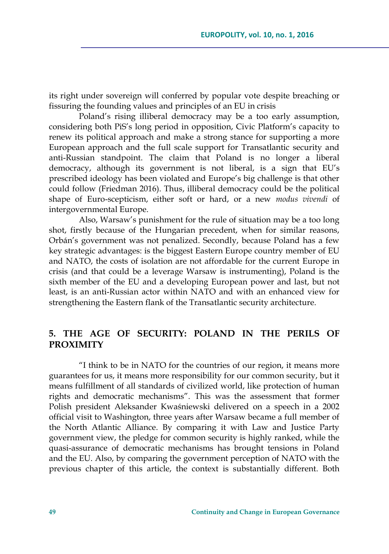its right under sovereign will conferred by popular vote despite breaching or fissuring the founding values and principles of an EU in crisis

Poland's rising illiberal democracy may be a too early assumption, considering both PiS's long period in opposition, Civic Platform's capacity to renew its political approach and make a strong stance for supporting a more European approach and the full scale support for Transatlantic security and anti-Russian standpoint. The claim that Poland is no longer a liberal democracy, although its government is not liberal, is a sign that EU's prescribed ideology has been violated and Europe's big challenge is that other could follow (Friedman 2016). Thus, illiberal democracy could be the political shape of Euro-scepticism, either soft or hard, or a new *modus vivendi* of intergovernmental Europe.

Also, Warsaw's punishment for the rule of situation may be a too long shot, firstly because of the Hungarian precedent, when for similar reasons, Orbán's government was not penalized. Secondly, because Poland has a few key strategic advantages: is the biggest Eastern Europe country member of EU and NATO, the costs of isolation are not affordable for the current Europe in crisis (and that could be a leverage Warsaw is instrumenting), Poland is the sixth member of the EU and a developing European power and last, but not least, is an anti-Russian actor within NATO and with an enhanced view for strengthening the Eastern flank of the Transatlantic security architecture.

# **5. THE AGE OF SECURITY: POLAND IN THE PERILS OF PROXIMITY**

"I think to be in NATO for the countries of our region, it means more guarantees for us, it means more responsibility for our common security, but it means fulfillment of all standards of civilized world, like protection of human rights and democratic mechanisms". This was the assessment that former Polish president Aleksander Kwaśniewski delivered on a speech in a 2002 official visit to Washington, three years after Warsaw became a full member of the North Atlantic Alliance. By comparing it with Law and Justice Party government view, the pledge for common security is highly ranked, while the quasi-assurance of democratic mechanisms has brought tensions in Poland and the EU. Also, by comparing the government perception of NATO with the previous chapter of this article, the context is substantially different. Both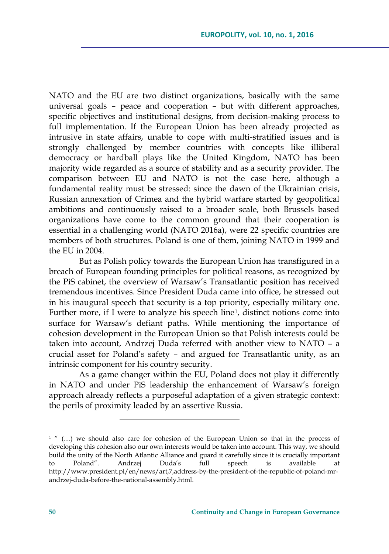NATO and the EU are two distinct organizations, basically with the same universal goals – peace and cooperation – but with different approaches, specific objectives and institutional designs, from decision-making process to full implementation. If the European Union has been already projected as intrusive in state affairs, unable to cope with multi-stratified issues and is strongly challenged by member countries with concepts like illiberal democracy or hardball plays like the United Kingdom, NATO has been majority wide regarded as a source of stability and as a security provider. The comparison between EU and NATO is not the case here, although a fundamental reality must be stressed: since the dawn of the Ukrainian crisis, Russian annexation of Crimea and the hybrid warfare started by geopolitical ambitions and continuously raised to a broader scale, both Brussels based organizations have come to the common ground that their cooperation is essential in a challenging world (NATO 2016a), were 22 specific countries are members of both structures. Poland is one of them, joining NATO in 1999 and the EU in 2004.

But as Polish policy towards the European Union has transfigured in a breach of European founding principles for political reasons, as recognized by the PiS cabinet, the overview of Warsaw's Transatlantic position has received tremendous incentives. Since President Duda came into office, he stressed out in his inaugural speech that security is a top priority, especially military one. Further more, if I were to analyze his speech line<sup>1</sup>, distinct notions come into surface for Warsaw's defiant paths. While mentioning the importance of cohesion development in the European Union so that Polish interests could be taken into account, Andrzej Duda referred with another view to NATO – a crucial asset for Poland's safety – and argued for Transatlantic unity, as an intrinsic component for his country security.

As a game changer within the EU, Poland does not play it differently in NATO and under PiS leadership the enhancement of Warsaw's foreign approach already reflects a purposeful adaptation of a given strategic context: the perils of proximity leaded by an assertive Russia.

<sup>&</sup>lt;sup>1</sup> " (...) we should also care for cohesion of the European Union so that in the process of developing this cohesion also our own interests would be taken into account. This way, we should build the unity of the North Atlantic Alliance and guard it carefully since it is crucially important to Poland". Andrzej Duda's full speech is available at [http://www.president.pl/en/news/art,7,address-by-the-president-of-the-republic-of-poland-mr](http://www.president.pl/en/news/art,7,address-by-the-president-of-the-republic-of-poland-mr-andrzej-duda-before-the-national-assembly.html)[andrzej-duda-before-the-national-assembly.html.](http://www.president.pl/en/news/art,7,address-by-the-president-of-the-republic-of-poland-mr-andrzej-duda-before-the-national-assembly.html)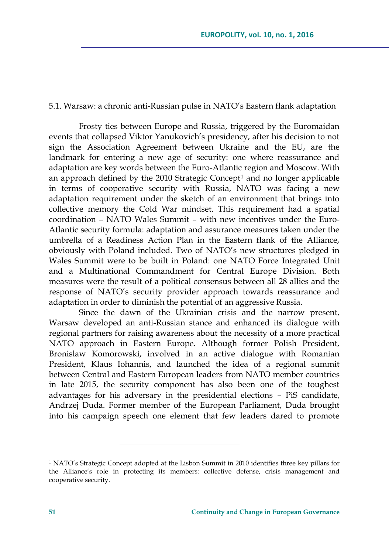#### 5.1. Warsaw: a chronic anti-Russian pulse in NATO's Eastern flank adaptation

Frosty ties between Europe and Russia, triggered by the Euromaidan events that collapsed Viktor Yanukovich's presidency, after his decision to not sign the Association Agreement between Ukraine and the EU, are the landmark for entering a new age of security: one where reassurance and adaptation are key words between the Euro-Atlantic region and Moscow. With an approach defined by the 2010 Strategic Concept<sup>1</sup> and no longer applicable in terms of cooperative security with Russia, NATO was facing a new adaptation requirement under the sketch of an environment that brings into collective memory the Cold War mindset. This requirement had a spatial coordination – NATO Wales Summit – with new incentives under the Euro-Atlantic security formula: adaptation and assurance measures taken under the umbrella of a Readiness Action Plan in the Eastern flank of the Alliance, obviously with Poland included. Two of NATO's new structures pledged in Wales Summit were to be built in Poland: one NATO Force Integrated Unit and a Multinational Commandment for Central Europe Division. Both measures were the result of a political consensus between all 28 allies and the response of NATO's security provider approach towards reassurance and adaptation in order to diminish the potential of an aggressive Russia.

Since the dawn of the Ukrainian crisis and the narrow present, Warsaw developed an anti-Russian stance and enhanced its dialogue with regional partners for raising awareness about the necessity of a more practical NATO approach in Eastern Europe. Although former Polish President, Bronislaw Komorowski, involved in an active dialogue with Romanian President, Klaus Iohannis, and launched the idea of a regional summit between Central and Eastern European leaders from NATO member countries in late 2015, the security component has also been one of the toughest advantages for his adversary in the presidential elections – PiS candidate, Andrzej Duda. Former member of the European Parliament, Duda brought into his campaign speech one element that few leaders dared to promote

<sup>1</sup> NATO's Strategic Concept adopted at the Lisbon Summit in 2010 identifies three key pillars for the Alliance's role in protecting its members: collective defense, crisis management and cooperative security.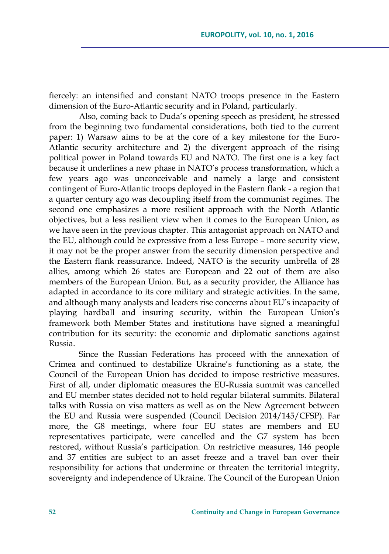fiercely: an intensified and constant NATO troops presence in the Eastern dimension of the Euro-Atlantic security and in Poland, particularly.

Also, coming back to Duda's opening speech as president, he stressed from the beginning two fundamental considerations, both tied to the current paper: 1) Warsaw aims to be at the core of a key milestone for the Euro-Atlantic security architecture and 2) the divergent approach of the rising political power in Poland towards EU and NATO. The first one is a key fact because it underlines a new phase in NATO's process transformation, which a few years ago was unconceivable and namely a large and consistent contingent of Euro-Atlantic troops deployed in the Eastern flank - a region that a quarter century ago was decoupling itself from the communist regimes. The second one emphasizes a more resilient approach with the North Atlantic objectives, but a less resilient view when it comes to the European Union, as we have seen in the previous chapter. This antagonist approach on NATO and the EU, although could be expressive from a less Europe – more security view, it may not be the proper answer from the security dimension perspective and the Eastern flank reassurance. Indeed, NATO is the security umbrella of 28 allies, among which 26 states are European and 22 out of them are also members of the European Union. But, as a security provider, the Alliance has adapted in accordance to its core military and strategic activities. In the same, and although many analysts and leaders rise concerns about EU's incapacity of playing hardball and insuring security, within the European Union's framework both Member States and institutions have signed a meaningful contribution for its security: the economic and diplomatic sanctions against Russia.

Since the Russian Federations has proceed with the annexation of Crimea and continued to destabilize Ukraine's functioning as a state, the Council of the European Union has decided to impose restrictive measures. First of all, under diplomatic measures the EU-Russia summit was cancelled and EU member states decided not to hold regular bilateral summits. Bilateral talks with Russia on visa matters as well as on the New Agreement between the EU and Russia were suspended (Council Decision 2014/145/CFSP). Far more, the G8 meetings, where four EU states are members and EU representatives participate, were cancelled and the G7 system has been restored, without Russia's participation. On restrictive measures, 146 people and 37 entities are subject to an asset freeze and a travel ban over their responsibility for actions that undermine or threaten the territorial integrity, sovereignty and independence of Ukraine. The Council of the European Union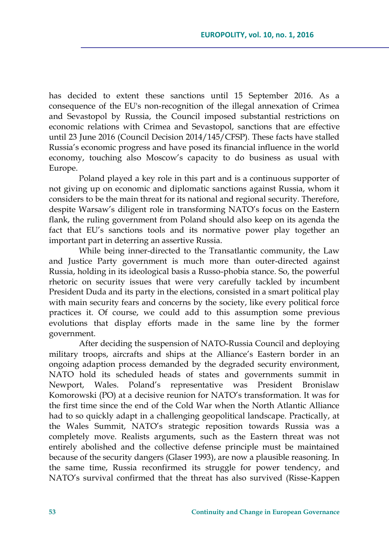has decided to extent these sanctions until 15 September 2016. As a consequence of the EU's non-recognition of the illegal annexation of Crimea and Sevastopol by Russia, the Council imposed substantial restrictions on economic relations with Crimea and Sevastopol, sanctions that are effective until 23 June 2016 (Council Decision 2014/145/CFSP). These facts have stalled Russia's economic progress and have posed its financial influence in the world economy, touching also Moscow's capacity to do business as usual with Europe.

Poland played a key role in this part and is a continuous supporter of not giving up on economic and diplomatic sanctions against Russia, whom it considers to be the main threat for its national and regional security. Therefore, despite Warsaw's diligent role in transforming NATO's focus on the Eastern flank, the ruling government from Poland should also keep on its agenda the fact that EU's sanctions tools and its normative power play together an important part in deterring an assertive Russia.

While being inner-directed to the Transatlantic community, the Law and Justice Party government is much more than outer-directed against Russia, holding in its ideological basis a Russo-phobia stance. So, the powerful rhetoric on security issues that were very carefully tackled by incumbent President Duda and its party in the elections, consisted in a smart political play with main security fears and concerns by the society, like every political force practices it. Of course, we could add to this assumption some previous evolutions that display efforts made in the same line by the former government.

After deciding the suspension of NATO-Russia Council and deploying military troops, aircrafts and ships at the Alliance's Eastern border in an ongoing adaption process demanded by the degraded security environment, NATO hold its scheduled heads of states and governments summit in Newport, Wales. Poland's representative was President Bronislaw Komorowski (PO) at a decisive reunion for NATO's transformation. It was for the first time since the end of the Cold War when the North Atlantic Alliance had to so quickly adapt in a challenging geopolitical landscape. Practically, at the Wales Summit, NATO's strategic reposition towards Russia was a completely move. Realists arguments, such as the Eastern threat was not entirely abolished and the collective defense principle must be maintained because of the security dangers (Glaser 1993), are now a plausible reasoning. In the same time, Russia reconfirmed its struggle for power tendency, and NATO's survival confirmed that the threat has also survived (Risse-Kappen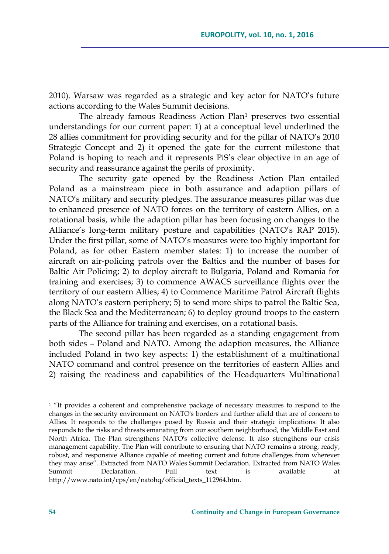2010). Warsaw was regarded as a strategic and key actor for NATO's future actions according to the Wales Summit decisions.

The already famous Readiness Action Plan<sup>1</sup> preserves two essential understandings for our current paper: 1) at a conceptual level underlined the 28 allies commitment for providing security and for the pillar of NATO's 2010 Strategic Concept and 2) it opened the gate for the current milestone that Poland is hoping to reach and it represents PiS's clear objective in an age of security and reassurance against the perils of proximity.

The security gate opened by the Readiness Action Plan entailed Poland as a mainstream piece in both assurance and adaption pillars of NATO's military and security pledges. The assurance measures pillar was due to enhanced presence of NATO forces on the territory of eastern Allies, on a rotational basis, while the adaption pillar has been focusing on changes to the Alliance's long-term military posture and capabilities (NATO's RAP 2015). Under the first pillar, some of NATO's measures were too highly important for Poland, as for other Eastern member states: 1) to increase the number of aircraft on air-policing patrols over the Baltics and the number of bases for Baltic Air Policing; 2) to deploy aircraft to Bulgaria, Poland and Romania for training and exercises; 3) to commence AWACS surveillance flights over the territory of our eastern Allies; 4) to Commence Maritime Patrol Aircraft flights along NATO's eastern periphery; 5) to send more ships to patrol the Baltic Sea, the Black Sea and the Mediterranean; 6) to deploy ground troops to the eastern parts of the Alliance for training and exercises, on a rotational basis.

The second pillar has been regarded as a standing engagement from both sides – Poland and NATO. Among the adaption measures, the Alliance included Poland in two key aspects: 1) the establishment of a multinational NATO command and control presence on the territories of eastern Allies and 2) raising the readiness and capabilities of the Headquarters Multinational

<sup>&</sup>lt;sup>1</sup> "It provides a coherent and comprehensive package of necessary measures to respond to the changes in the security environment on NATO's borders and further afield that are of concern to Allies. It responds to the challenges posed by Russia and their strategic implications. It also responds to the risks and threats emanating from our southern neighborhood, the Middle East and North Africa. The Plan strengthens NATO's collective defense. It also strengthens our crisis management capability. The Plan will contribute to ensuring that NATO remains a strong, ready, robust, and responsive Alliance capable of meeting current and future challenges from wherever they may arise". Extracted from NATO Wales Summit Declaration. Extracted from NATO Wales Summit Declaration. Full text is available at [http://www.nato.int/cps/en/natohq/official\\_texts\\_112964.htm.](http://www.nato.int/cps/en/natohq/official_texts_112964.htm)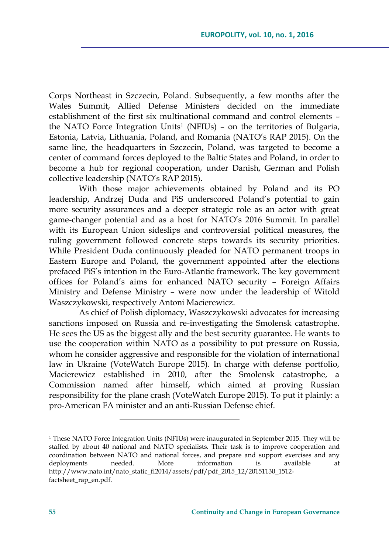Corps Northeast in Szczecin, Poland. Subsequently, a few months after the Wales Summit, Allied Defense Ministers decided on the immediate establishment of the first six multinational command and control elements – the NATO Force Integration Units<sup>1</sup> (NFIUs) – on the territories of Bulgaria, Estonia, Latvia, Lithuania, Poland, and Romania (NATO's RAP 2015). On the same line, the headquarters in Szczecin, Poland, was targeted to become a center of command forces deployed to the Baltic States and Poland, in order to become a hub for regional cooperation, under Danish, German and Polish collective leadership (NATO's RAP 2015).

With those major achievements obtained by Poland and its PO leadership, Andrzej Duda and PiS underscored Poland's potential to gain more security assurances and a deeper strategic role as an actor with great game-changer potential and as a host for NATO's 2016 Summit. In parallel with its European Union sideslips and controversial political measures, the ruling government followed concrete steps towards its security priorities. While President Duda continuously pleaded for NATO permanent troops in Eastern Europe and Poland, the government appointed after the elections prefaced PiS's intention in the Euro-Atlantic framework. The key government offices for Poland's aims for enhanced NATO security – Foreign Affairs Ministry and Defense Ministry – were now under the leadership of Witold Waszczykowski, respectively Antoni Macierewicz.

As chief of Polish diplomacy, Waszczykowski advocates for increasing sanctions imposed on Russia and re-investigating the Smolensk catastrophe. He sees the US as the biggest ally and the best security guarantee. He wants to use the cooperation within NATO as a possibility to put pressure on Russia, whom he consider aggressive and responsible for the violation of international law in Ukraine (VoteWatch Europe 2015). In charge with defense portfolio, Macierewicz established in 2010, after the Smolensk catastrophe, a Commission named after himself, which aimed at proving Russian responsibility for the plane crash (VoteWatch Europe 2015). To put it plainly: a pro-American FA minister and an anti-Russian Defense chief.

<sup>&</sup>lt;sup>1</sup> These NATO Force Integration Units (NFIUs) were inaugurated in September 2015. They will be staffed by about 40 national and NATO specialists. Their task is to improve cooperation and coordination between NATO and national forces, and prepare and support exercises and any deployments needed. More information is available at [http://www.nato.int/nato\\_static\\_fl2014/assets/pdf/pdf\\_2015\\_12/20151130\\_1512](http://www.nato.int/nato_static_fl2014/assets/pdf/pdf_2015_12/20151130_1512-factsheet_rap_en.pdf) [factsheet\\_rap\\_en.pdf.](http://www.nato.int/nato_static_fl2014/assets/pdf/pdf_2015_12/20151130_1512-factsheet_rap_en.pdf)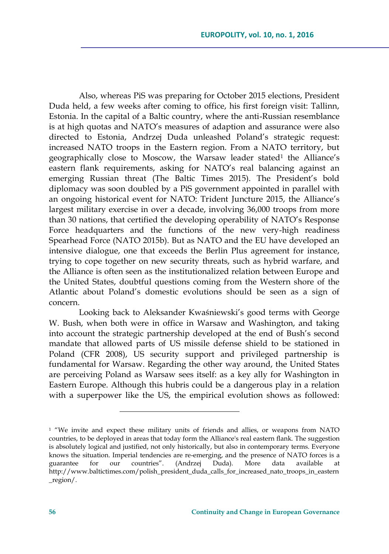Also, whereas PiS was preparing for October 2015 elections, President Duda held, a few weeks after coming to office, his first foreign visit: Tallinn, Estonia. In the capital of a Baltic country, where the anti-Russian resemblance is at high quotas and NATO's measures of adaption and assurance were also directed to Estonia, Andrzej Duda unleashed Poland's strategic request: increased NATO troops in the Eastern region. From a NATO territory, but geographically close to Moscow, the Warsaw leader stated<sup>1</sup> the Alliance's eastern flank requirements, asking for NATO's real balancing against an emerging Russian threat (The Baltic Times 2015). The President's bold diplomacy was soon doubled by a PiS government appointed in parallel with an ongoing historical event for NATO: Trident Juncture 2015, the Alliance's largest military exercise in over a decade, involving 36,000 troops from more than 30 nations, that certified the developing operability of NATO's Response Force headquarters and the functions of the new very-high readiness Spearhead Force (NATO 2015b). But as NATO and the EU have developed an intensive dialogue, one that exceeds the Berlin Plus agreement for instance, trying to cope together on new security threats, such as hybrid warfare, and the Alliance is often seen as the institutionalized relation between Europe and the United States, doubtful questions coming from the Western shore of the Atlantic about Poland's domestic evolutions should be seen as a sign of concern.

Looking back to Aleksander Kwaśniewski's good terms with George W. Bush, when both were in office in Warsaw and Washington, and taking into account the strategic partnership developed at the end of Bush's second mandate that allowed parts of US missile defense shield to be stationed in Poland (CFR 2008), US security support and privileged partnership is fundamental for Warsaw. Regarding the other way around, the United States are perceiving Poland as Warsaw sees itself: as a key ally for Washington in Eastern Europe. Although this hubris could be a dangerous play in a relation with a superpower like the US, the empirical evolution shows as followed:

<sup>&</sup>lt;sup>1</sup> "We invite and expect these military units of friends and allies, or weapons from NATO countries, to be deployed in areas that today form the Alliance's real eastern flank. The suggestion is absolutely logical and justified, not only historically, but also in contemporary terms. Everyone knows the situation. Imperial tendencies are re-emerging, and the presence of NATO forces is a guarantee for our countries". (Andrzej Duda). More data available [http://www.baltictimes.com/polish\\_president\\_duda\\_calls\\_for\\_increased\\_nato\\_troops\\_in\\_eastern](http://www.baltictimes.com/polish_president_duda_calls_for_increased_nato_troops_in_eastern_region/) [\\_region/.](http://www.baltictimes.com/polish_president_duda_calls_for_increased_nato_troops_in_eastern_region/)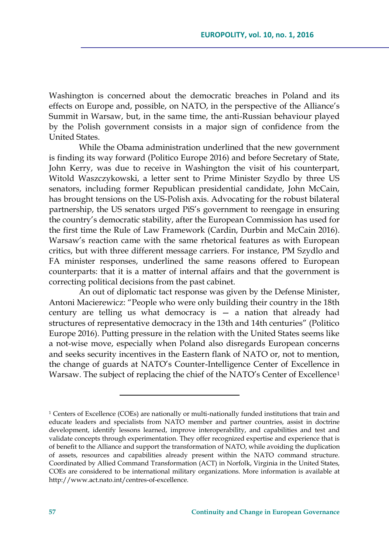Washington is concerned about the democratic breaches in Poland and its effects on Europe and, possible, on NATO, in the perspective of the Alliance's Summit in Warsaw, but, in the same time, the anti-Russian behaviour played by the Polish government consists in a major sign of confidence from the United States.

While the Obama administration underlined that the new government is finding its way forward (Politico Europe 2016) and before Secretary of State, John Kerry, was due to receive in Washington the visit of his counterpart, Witold Waszczykowski, a letter sent to Prime Minister Szydlo by three US senators, including former Republican presidential candidate, John McCain, has brought tensions on the US-Polish axis. Advocating for the robust bilateral partnership, the US senators urged PiS's government to reengage in ensuring the country's democratic stability, after the European Commission has used for the first time the Rule of Law Framework (Cardin, Durbin and McCain 2016). Warsaw's reaction came with the same rhetorical features as with European critics, but with three different message carriers. For instance, PM Szydlo and FA minister responses, underlined the same reasons offered to European counterparts: that it is a matter of internal affairs and that the government is correcting political decisions from the past cabinet.

An out of diplomatic tact response was given by the Defense Minister, Antoni Macierewicz: "People who were only building their country in the 18th century are telling us what democracy is — a nation that already had structures of representative democracy in the 13th and 14th centuries" (Politico Europe 2016). Putting pressure in the relation with the United States seems like a not-wise move, especially when Poland also disregards European concerns and seeks security incentives in the Eastern flank of NATO or, not to mention, the change of guards at NATO's Counter-Intelligence Center of Excellence in Warsaw. The subject of replacing the chief of the NATO's Center of Excellence<sup>1</sup>

<sup>1</sup> Centers of Excellence (COEs) are nationally or multi-nationally funded institutions that train and educate leaders and specialists from NATO member and partner countries, assist in doctrine development, identify lessons learned, improve interoperability, and capabilities and test and validate concepts through experimentation. They offer recognized expertise and experience that is of benefit to the Alliance and support the transformation of NATO, while avoiding the duplication of assets, resources and capabilities already present within the NATO command structure. Coordinated by Allied Command Transformation (ACT) in Norfolk, Virginia in the United States, COEs are considered to be international military organizations. More information is available at [http://www.act.nato.int/centres-of-excellence.](http://www.act.nato.int/centres-of-excellence)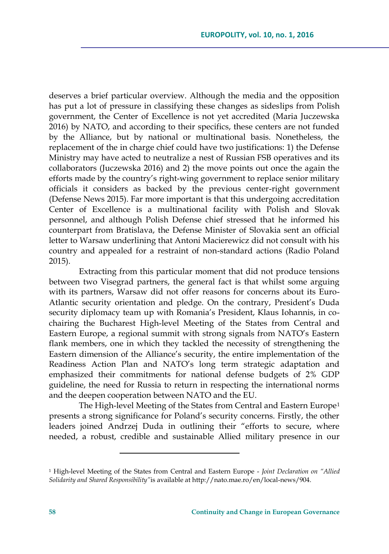deserves a brief particular overview. Although the media and the opposition has put a lot of pressure in classifying these changes as sideslips from Polish government, the Center of Excellence is not yet accredited (Maria Juczewska 2016) by NATO, and according to their specifics, these centers are not funded by the Alliance, but by national or multinational basis. Nonetheless, the replacement of the in charge chief could have two justifications: 1) the Defense Ministry may have acted to neutralize a nest of Russian FSB operatives and its collaborators (Juczewska 2016) and 2) the move points out once the again the efforts made by the country's right-wing government to replace senior military officials it considers as backed by the previous center-right government (Defense News 2015). Far more important is that this undergoing accreditation Center of Excellence is a multinational facility with Polish and Slovak personnel, and although Polish Defense chief stressed that he informed his counterpart from Bratislava, the Defense Minister of Slovakia sent an official letter to Warsaw underlining that Antoni Macierewicz did not consult with his country and appealed for a restraint of non-standard actions (Radio Poland 2015).

Extracting from this particular moment that did not produce tensions between two Visegrad partners, the general fact is that whilst some arguing with its partners, Warsaw did not offer reasons for concerns about its Euro-Atlantic security orientation and pledge. On the contrary, President's Duda security diplomacy team up with Romania's President, Klaus Iohannis, in cochairing the Bucharest High-level Meeting of the States from Central and Eastern Europe, a regional summit with strong signals from NATO's Eastern flank members, one in which they tackled the necessity of strengthening the Eastern dimension of the Alliance's security, the entire implementation of the Readiness Action Plan and NATO's long term strategic adaptation and emphasized their commitments for national defense budgets of 2% GDP guideline, the need for Russia to return in respecting the international norms and the deepen cooperation between NATO and the EU.

The High-level Meeting of the States from Central and Eastern Europe<sup>1</sup> presents a strong significance for Poland's security concerns. Firstly, the other leaders joined Andrzej Duda in outlining their "efforts to secure, where needed, a robust, credible and sustainable Allied military presence in our

<sup>1</sup> High-level Meeting of the States from Central and Eastern Europe - *Joint Declaration on "Allied Solidarity and Shared Responsibility"*is available at [http://nato.mae.ro/en/local-news/904.](http://nato.mae.ro/en/local-news/904)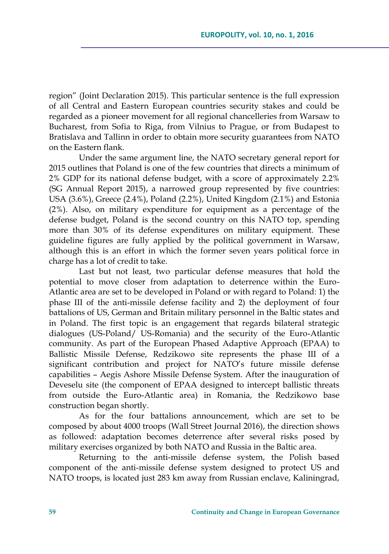region" (Joint Declaration 2015). This particular sentence is the full expression of all Central and Eastern European countries security stakes and could be regarded as a pioneer movement for all regional chancelleries from Warsaw to Bucharest, from Sofia to Riga, from Vilnius to Prague, or from Budapest to Bratislava and Tallinn in order to obtain more security guarantees from NATO on the Eastern flank.

Under the same argument line, the NATO secretary general report for 2015 outlines that Poland is one of the few countries that directs a minimum of 2% GDP for its national defense budget, with a score of approximately 2.2% (SG Annual Report 2015), a narrowed group represented by five countries: USA (3.6%), Greece (2.4%), Poland (2.2%), United Kingdom (2.1%) and Estonia (2%). Also, on military expenditure for equipment as a percentage of the defense budget, Poland is the second country on this NATO top, spending more than 30% of its defense expenditures on military equipment. These guideline figures are fully applied by the political government in Warsaw, although this is an effort in which the former seven years political force in charge has a lot of credit to take.

Last but not least, two particular defense measures that hold the potential to move closer from adaptation to deterrence within the Euro-Atlantic area are set to be developed in Poland or with regard to Poland: 1) the phase III of the anti-missile defense facility and 2) the deployment of four battalions of US, German and Britain military personnel in the Baltic states and in Poland. The first topic is an engagement that regards bilateral strategic dialogues (US-Poland/ US-Romania) and the security of the Euro-Atlantic community. As part of the European Phased Adaptive Approach (EPAA) to Ballistic Missile Defense, Redzikowo site represents the phase III of a significant contribution and project for NATO's future missile defense capabilities – Aegis Ashore Missile Defense System. After the inauguration of Deveselu site (the component of EPAA designed to intercept ballistic threats from outside the Euro-Atlantic area) in Romania, the Redzikowo base construction began shortly.

As for the four battalions announcement, which are set to be composed by about 4000 troops (Wall Street Journal 2016), the direction shows as followed: adaptation becomes deterrence after several risks posed by military exercises organized by both NATO and Russia in the Baltic area.

Returning to the anti-missile defense system, the Polish based component of the anti-missile defense system designed to protect US and NATO troops, is located just 283 km away from Russian enclave, Kaliningrad,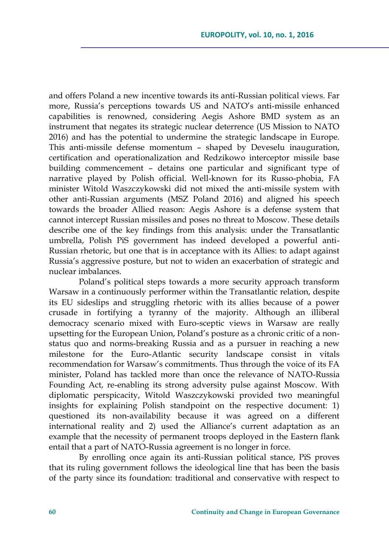and offers Poland a new incentive towards its anti-Russian political views. Far more, Russia's perceptions towards US and NATO's anti-missile enhanced capabilities is renowned, considering Aegis Ashore BMD system as an instrument that negates its strategic nuclear deterrence (US Mission to NATO 2016) and has the potential to undermine the strategic landscape in Europe. This anti-missile defense momentum – shaped by Deveselu inauguration, certification and operationalization and Redzikowo interceptor missile base building commencement – detains one particular and significant type of narrative played by Polish official. Well-known for its Russo-phobia, FA minister Witold Waszczykowski did not mixed the anti-missile system with other anti-Russian arguments (MSZ Poland 2016) and aligned his speech towards the broader Allied reason: Aegis Ashore is a defense system that cannot intercept Russian missiles and poses no threat to Moscow. These details describe one of the key findings from this analysis: under the Transatlantic umbrella, Polish PiS government has indeed developed a powerful anti-Russian rhetoric, but one that is in acceptance with its Allies: to adapt against Russia's aggressive posture, but not to widen an exacerbation of strategic and nuclear imbalances.

Poland's political steps towards a more security approach transform Warsaw in a continuously performer within the Transatlantic relation, despite its EU sideslips and struggling rhetoric with its allies because of a power crusade in fortifying a tyranny of the majority. Although an illiberal democracy scenario mixed with Euro-sceptic views in Warsaw are really upsetting for the European Union, Poland's posture as a chronic critic of a nonstatus quo and norms-breaking Russia and as a pursuer in reaching a new milestone for the Euro-Atlantic security landscape consist in vitals recommendation for Warsaw's commitments. Thus through the voice of its FA minister, Poland has tackled more than once the relevance of NATO-Russia Founding Act, re-enabling its strong adversity pulse against Moscow. With diplomatic perspicacity, Witold Waszczykowski provided two meaningful insights for explaining Polish standpoint on the respective document: 1) questioned its non-availability because it was agreed on a different international reality and 2) used the Alliance's current adaptation as an example that the necessity of permanent troops deployed in the Eastern flank entail that a part of NATO-Russia agreement is no longer in force.

By enrolling once again its anti-Russian political stance, PiS proves that its ruling government follows the ideological line that has been the basis of the party since its foundation: traditional and conservative with respect to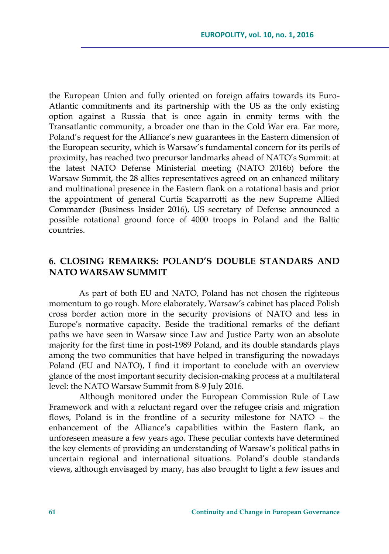the European Union and fully oriented on foreign affairs towards its Euro-Atlantic commitments and its partnership with the US as the only existing option against a Russia that is once again in enmity terms with the Transatlantic community, a broader one than in the Cold War era. Far more, Poland's request for the Alliance's new guarantees in the Eastern dimension of the European security, which is Warsaw's fundamental concern for its perils of proximity, has reached two precursor landmarks ahead of NATO's Summit: at the latest NATO Defense Ministerial meeting (NATO 2016b) before the Warsaw Summit, the 28 allies representatives agreed on an enhanced military and multinational presence in the Eastern flank on a rotational basis and prior the appointment of general Curtis Scaparrotti as the new Supreme Allied Commander (Business Insider 2016), US secretary of Defense announced a possible rotational ground force of 4000 troops in Poland and the Baltic countries.

### **6. CLOSING REMARKS: POLAND'S DOUBLE STANDARS AND NATO WARSAW SUMMIT**

As part of both EU and NATO, Poland has not chosen the righteous momentum to go rough. More elaborately, Warsaw's cabinet has placed Polish cross border action more in the security provisions of NATO and less in Europe's normative capacity. Beside the traditional remarks of the defiant paths we have seen in Warsaw since Law and Justice Party won an absolute majority for the first time in post-1989 Poland, and its double standards plays among the two communities that have helped in transfiguring the nowadays Poland (EU and NATO), I find it important to conclude with an overview glance of the most important security decision-making process at a multilateral level: the NATO Warsaw Summit from 8-9 July 2016.

Although monitored under the European Commission Rule of Law Framework and with a reluctant regard over the refugee crisis and migration flows, Poland is in the frontline of a security milestone for NATO – the enhancement of the Alliance's capabilities within the Eastern flank, an unforeseen measure a few years ago. These peculiar contexts have determined the key elements of providing an understanding of Warsaw's political paths in uncertain regional and international situations. Poland's double standards views, although envisaged by many, has also brought to light a few issues and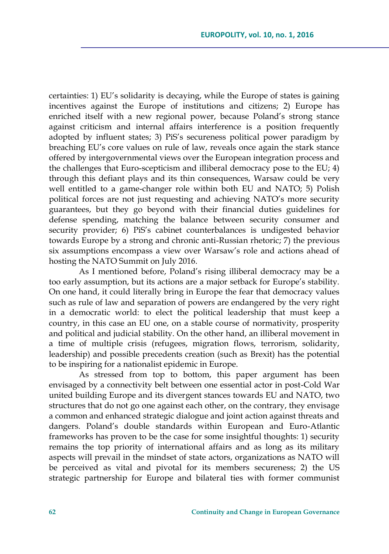certainties: 1) EU's solidarity is decaying, while the Europe of states is gaining incentives against the Europe of institutions and citizens; 2) Europe has enriched itself with a new regional power, because Poland's strong stance against criticism and internal affairs interference is a position frequently adopted by influent states; 3) PiS's secureness political power paradigm by breaching EU's core values on rule of law, reveals once again the stark stance offered by intergovernmental views over the European integration process and the challenges that Euro-scepticism and illiberal democracy pose to the EU; 4) through this defiant plays and its thin consequences, Warsaw could be very well entitled to a game-changer role within both EU and NATO; 5) Polish political forces are not just requesting and achieving NATO's more security guarantees, but they go beyond with their financial duties guidelines for defense spending, matching the balance between security consumer and security provider; 6) PiS's cabinet counterbalances is undigested behavior towards Europe by a strong and chronic anti-Russian rhetoric; 7) the previous six assumptions encompass a view over Warsaw's role and actions ahead of hosting the NATO Summit on July 2016.

As I mentioned before, Poland's rising illiberal democracy may be a too early assumption, but its actions are a major setback for Europe's stability. On one hand, it could literally bring in Europe the fear that democracy values such as rule of law and separation of powers are endangered by the very right in a democratic world: to elect the political leadership that must keep a country, in this case an EU one, on a stable course of normativity, prosperity and political and judicial stability. On the other hand, an illiberal movement in a time of multiple crisis (refugees, migration flows, terrorism, solidarity, leadership) and possible precedents creation (such as Brexit) has the potential to be inspiring for a nationalist epidemic in Europe.

As stressed from top to bottom, this paper argument has been envisaged by a connectivity belt between one essential actor in post-Cold War united building Europe and its divergent stances towards EU and NATO, two structures that do not go one against each other, on the contrary, they envisage a common and enhanced strategic dialogue and joint action against threats and dangers. Poland's double standards within European and Euro-Atlantic frameworks has proven to be the case for some insightful thoughts: 1) security remains the top priority of international affairs and as long as its military aspects will prevail in the mindset of state actors, organizations as NATO will be perceived as vital and pivotal for its members secureness; 2) the US strategic partnership for Europe and bilateral ties with former communist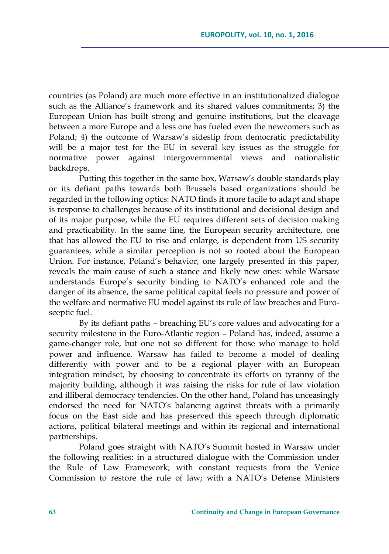countries (as Poland) are much more effective in an institutionalized dialogue such as the Alliance's framework and its shared values commitments; 3) the European Union has built strong and genuine institutions, but the cleavage between a more Europe and a less one has fueled even the newcomers such as Poland; 4) the outcome of Warsaw's sideslip from democratic predictability will be a major test for the EU in several key issues as the struggle for normative power against intergovernmental views and nationalistic backdrops.

Putting this together in the same box, Warsaw's double standards play or its defiant paths towards both Brussels based organizations should be regarded in the following optics: NATO finds it more facile to adapt and shape is response to challenges because of its institutional and decisional design and of its major purpose, while the EU requires different sets of decision making and practicability. In the same line, the European security architecture, one that has allowed the EU to rise and enlarge, is dependent from US security guarantees, while a similar perception is not so rooted about the European Union. For instance, Poland's behavior, one largely presented in this paper, reveals the main cause of such a stance and likely new ones: while Warsaw understands Europe's security binding to NATO's enhanced role and the danger of its absence, the same political capital feels no pressure and power of the welfare and normative EU model against its rule of law breaches and Eurosceptic fuel.

By its defiant paths – breaching EU's core values and advocating for a security milestone in the Euro-Atlantic region – Poland has, indeed, assume a game-changer role, but one not so different for those who manage to hold power and influence. Warsaw has failed to become a model of dealing differently with power and to be a regional player with an European integration mindset, by choosing to concentrate its efforts on tyranny of the majority building, although it was raising the risks for rule of law violation and illiberal democracy tendencies. On the other hand, Poland has unceasingly endorsed the need for NATO's balancing against threats with a primarily focus on the East side and has preserved this speech through diplomatic actions, political bilateral meetings and within its regional and international partnerships.

Poland goes straight with NATO's Summit hosted in Warsaw under the following realities: in a structured dialogue with the Commission under the Rule of Law Framework; with constant requests from the Venice Commission to restore the rule of law; with a NATO's Defense Ministers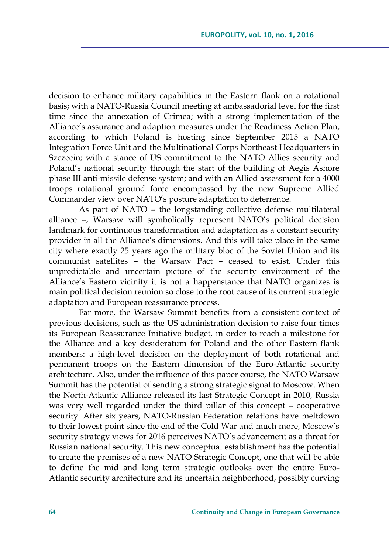decision to enhance military capabilities in the Eastern flank on a rotational basis; with a NATO-Russia Council meeting at ambassadorial level for the first time since the annexation of Crimea; with a strong implementation of the Alliance's assurance and adaption measures under the Readiness Action Plan, according to which Poland is hosting since September 2015 a NATO Integration Force Unit and the Multinational Corps Northeast Headquarters in Szczecin; with a stance of US commitment to the NATO Allies security and Poland's national security through the start of the building of Aegis Ashore phase III anti-missile defense system; and with an Allied assessment for a 4000 troops rotational ground force encompassed by the new Supreme Allied Commander view over NATO's posture adaptation to deterrence.

As part of NATO – the longstanding collective defense multilateral alliance –, Warsaw will symbolically represent NATO's political decision landmark for continuous transformation and adaptation as a constant security provider in all the Alliance's dimensions. And this will take place in the same city where exactly 25 years ago the military bloc of the Soviet Union and its communist satellites – the Warsaw Pact – ceased to exist. Under this unpredictable and uncertain picture of the security environment of the Alliance's Eastern vicinity it is not a happenstance that NATO organizes is main political decision reunion so close to the root cause of its current strategic adaptation and European reassurance process.

Far more, the Warsaw Summit benefits from a consistent context of previous decisions, such as the US administration decision to raise four times its European Reassurance Initiative budget, in order to reach a milestone for the Alliance and a key desideratum for Poland and the other Eastern flank members: a high-level decision on the deployment of both rotational and permanent troops on the Eastern dimension of the Euro-Atlantic security architecture. Also, under the influence of this paper course, the NATO Warsaw Summit has the potential of sending a strong strategic signal to Moscow. When the North-Atlantic Alliance released its last Strategic Concept in 2010, Russia was very well regarded under the third pillar of this concept – cooperative security. After six years, NATO-Russian Federation relations have meltdown to their lowest point since the end of the Cold War and much more, Moscow's security strategy views for 2016 perceives NATO's advancement as a threat for Russian national security. This new conceptual establishment has the potential to create the premises of a new NATO Strategic Concept, one that will be able to define the mid and long term strategic outlooks over the entire Euro-Atlantic security architecture and its uncertain neighborhood, possibly curving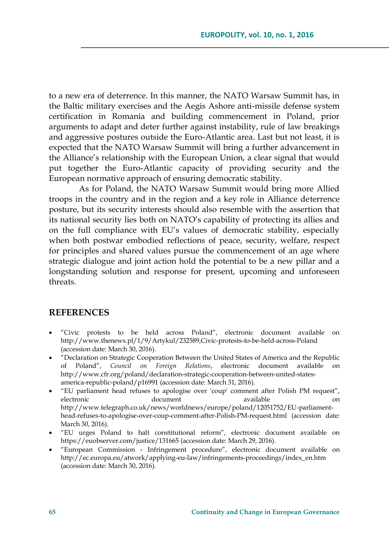to a new era of deterrence. In this manner, the NATO Warsaw Summit has, in the Baltic military exercises and the Aegis Ashore anti-missile defense system certification in Romania and building commencement in Poland, prior arguments to adapt and deter further against instability, rule of law breakings and aggressive postures outside the Euro-Atlantic area. Last but not least, it is expected that the NATO Warsaw Summit will bring a further advancement in the Alliance's relationship with the European Union, a clear signal that would put together the Euro-Atlantic capacity of providing security and the European normative approach of ensuring democratic stability.

As for Poland, the NATO Warsaw Summit would bring more Allied troops in the country and in the region and a key role in Alliance deterrence posture, but its security interests should also resemble with the assertion that its national security lies both on NATO's capability of protecting its allies and on the full compliance with EU's values of democratic stability, especially when both postwar embodied reflections of peace, security, welfare, respect for principles and shared values pursue the commencement of an age where strategic dialogue and joint action hold the potential to be a new pillar and a longstanding solution and response for present, upcoming and unforeseen threats.

#### **REFERENCES**

- "Civic protests to be held across Poland", electronic document available on <http://www.thenews.pl/1/9/Artykul/232589,Civic-protests-to-be-held-across-Poland> (accession date: March 30, 2016).
- "Declaration on Strategic Cooperation Between the United States of America and the Republic of Poland", *Council on Foreign Relations*, electronic document available on [http://www.cfr.org/poland/declaration-strategic-cooperation-between-united-states](http://www.cfr.org/poland/declaration-strategic-cooperation-between-united-states-america-republic-poland/p16991)[america-republic-poland/p16991](http://www.cfr.org/poland/declaration-strategic-cooperation-between-united-states-america-republic-poland/p16991) (accession date: March 31, 2016).
- "EU parliament head refuses to apologise over 'coup' comment after Polish PM request", electronic document available on [http://www.telegraph.co.uk/news/worldnews/europe/poland/12051752/EU-parliament](http://www.telegraph.co.uk/news/worldnews/europe/poland/12051752/EU-parliament-head-refuses-to-apologise-over-coup-comment-after-Polish-PM-request.html)[head-refuses-to-apologise-over-coup-comment-after-Polish-PM-request.html](http://www.telegraph.co.uk/news/worldnews/europe/poland/12051752/EU-parliament-head-refuses-to-apologise-over-coup-comment-after-Polish-PM-request.html) (accession date: March 30, 2016).
- "EU urges Poland to halt constitutional reform", electronic document available on <https://euobserver.com/justice/131665> (accession date: March 29, 2016).
- "European Commission Infringement procedure", electronic document available on [http://ec.europa.eu/atwork/applying-eu-law/infringements-proceedings/index\\_en.htm](http://ec.europa.eu/atwork/applying-eu-law/infringements-proceedings/index_en.htm) (accession date: March 30, 2016).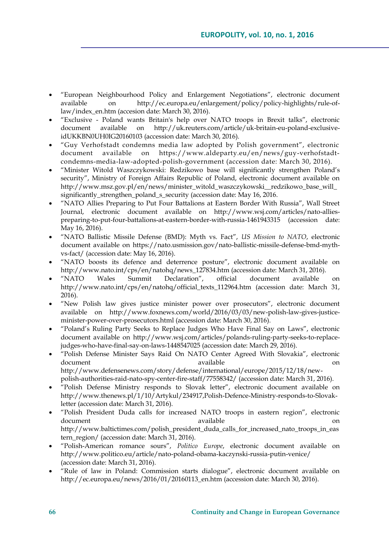- "European Neighbourhood Policy and Enlargement Negotiations", electronic document available on [http://ec.europa.eu/enlargement/policy/policy-highlights/rule-of](http://ec.europa.eu/enlargement/policy/policy-highlights/rule-of-law/index_en.htm)[law/index\\_en.htm](http://ec.europa.eu/enlargement/policy/policy-highlights/rule-of-law/index_en.htm) (accesion date: March 30, 2016).
- "Exclusive Poland wants Britain's help over NATO troops in Brexit talks", electronic document available on [http://uk.reuters.com/article/uk-britain-eu-poland-exclusive](http://uk.reuters.com/article/uk-britain-eu-poland-exclusive-idUKKBN0UH0IG20160103)[idUKKBN0UH0IG20160103](http://uk.reuters.com/article/uk-britain-eu-poland-exclusive-idUKKBN0UH0IG20160103) (accession date: March 30, 2016).
- "Guy Verhofstadt condemns media law adopted by Polish government", electronic document available on [https://www.aldeparty.eu/en/news/guy-verhofstadt](https://www.aldeparty.eu/en/news/guy-verhofstadt-condemns-media-law-adopted-polish-government)[condemns-media-law-adopted-polish-government](https://www.aldeparty.eu/en/news/guy-verhofstadt-condemns-media-law-adopted-polish-government) (accession date: March 30, 2016).
- "Minister Witold Waszczykowski: Redzikowo base will significantly strengthen Poland's security", Ministry of Foreign Affairs Republic of Poland, electronic document available on [http://www.msz.gov.pl/en/news/minister\\_witold\\_waszczykowski\\_\\_redzikowo\\_base\\_will\\_](http://www.msz.gov.pl/en/news/minister_witold_waszczykowski__redzikowo_base_will_significantly_strengthen_poland_s_security) [significantly\\_strengthen\\_poland\\_s\\_security](http://www.msz.gov.pl/en/news/minister_witold_waszczykowski__redzikowo_base_will_significantly_strengthen_poland_s_security) (accession date: May 16, 2016.
- "NATO Allies Preparing to Put Four Battalions at Eastern Border With Russia", Wall Street Journal, electronic document available on [http://www.wsj.com/articles/nato-allies](http://www.wsj.com/articles/nato-allies-preparing-to-put-four-battalions-at-eastern-border-with-russia-1461943315)[preparing-to-put-four-battalions-at-eastern-border-with-russia-1461943315](http://www.wsj.com/articles/nato-allies-preparing-to-put-four-battalions-at-eastern-border-with-russia-1461943315) (accession date: May 16, 2016).
- "NATO Ballistic Missile Defense (BMD): Myth vs. Fact", *US Mission to NATO*, electronic document available on [https://nato.usmission.gov/nato-ballistic-missile-defense-bmd-myth](https://nato.usmission.gov/nato-ballistic-missile-defense-bmd-myth-vs-fact/)[vs-fact/](https://nato.usmission.gov/nato-ballistic-missile-defense-bmd-myth-vs-fact/) (accession date: May 16, 2016).
- "NATO boosts its defence and deterrence posture", electronic document available on [http://www.nato.int/cps/en/natohq/news\\_127834.htm](http://www.nato.int/cps/en/natohq/news_127834.htm) (accession date: March 31, 2016).
- "NATO Wales Summit Declaration", official document available on [http://www.nato.int/cps/en/natohq/official\\_texts\\_112964.htm](http://www.nato.int/cps/en/natohq/official_texts_112964.htm) (accession date: March 31, 2016).
- "New Polish law gives justice minister power over prosecutors", electronic document available on [http://www.foxnews.com/world/2016/03/03/new-polish-law-gives-justice](http://www.foxnews.com/world/2016/03/03/new-polish-law-gives-justice-minister-power-over-prosecutors.html)[minister-power-over-prosecutors.html](http://www.foxnews.com/world/2016/03/03/new-polish-law-gives-justice-minister-power-over-prosecutors.html) (accession date: March 30, 2016).
- "Poland's Ruling Party Seeks to Replace Judges Who Have Final Say on Laws", electronic document available on [http://www.wsj.com/articles/polands-ruling-party-seeks-to-replace](http://www.wsj.com/articles/polands-ruling-party-seeks-to-replace-judges-who-have-final-say-on-laws-1448547025)[judges-who-have-final-say-on-laws-1448547025](http://www.wsj.com/articles/polands-ruling-party-seeks-to-replace-judges-who-have-final-say-on-laws-1448547025) (accession date: March 29, 2016).
- "Polish Defense Minister Says Raid On NATO Center Agreed With Slovakia", electronic document available available on the contract of the contract of the contract of the contract of the contract of the contract of the contract of the contract of the contract of the contract of the contract of the contract o [http://www.defensenews.com/story/defense/international/europe/2015/12/18/new](http://www.defensenews.com/story/defense/international/europe/2015/12/18/new-polish-authorities-raid-nato-spy-center-fire-staff/77558342/)[polish-authorities-raid-nato-spy-center-fire-staff/77558342/](http://www.defensenews.com/story/defense/international/europe/2015/12/18/new-polish-authorities-raid-nato-spy-center-fire-staff/77558342/) (accession date: March 31, 2016).
- "Polish Defense Ministry responds to Slovak letter", electronic document available on [http://www.thenews.pl/1/10/Artykul/234917,Polish-Defence-Ministry-responds-to-Slovak](http://www.thenews.pl/1/10/Artykul/234917,Polish-Defence-Ministry-responds-to-Slovak-letter)[letter](http://www.thenews.pl/1/10/Artykul/234917,Polish-Defence-Ministry-responds-to-Slovak-letter) (accession date: March 31, 2016).
- "Polish President Duda calls for increased NATO troops in eastern region", electronic document available available on  $\alpha$ [http://www.baltictimes.com/polish\\_president\\_duda\\_calls\\_for\\_increased\\_nato\\_troops\\_in\\_eas](http://www.baltictimes.com/polish_president_duda_calls_for_increased_nato_troops_in_eastern_region/) [tern\\_region/](http://www.baltictimes.com/polish_president_duda_calls_for_increased_nato_troops_in_eastern_region/) (accession date: March 31, 2016).
- "Polish-American romance sours", *Politico Europe*, electronic document available on <http://www.politico.eu/article/nato-poland-obama-kaczynski-russia-putin-venice/> (accession date: March 31, 2016).
- "Rule of law in Poland: Commission starts dialogue", electronic document available on [http://ec.europa.eu/news/2016/01/20160113\\_en.htm](http://ec.europa.eu/news/2016/01/20160113_en.htm) (accession date: March 30, 2016).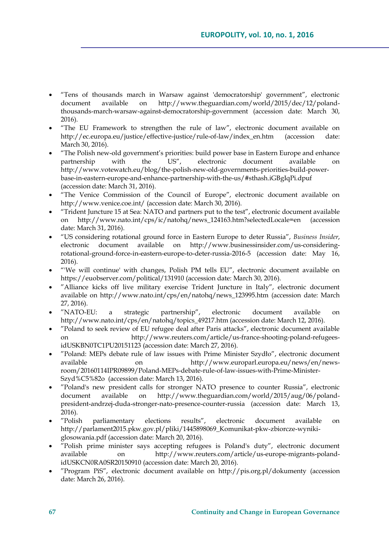- "Tens of thousands march in Warsaw against 'democratorship' government", electronic document available on [http://www.theguardian.com/world/2015/dec/12/poland](http://www.theguardian.com/world/2015/dec/12/poland-thousands-march-warsaw-against-democratorship-government)[thousands-march-warsaw-against-democratorship-government](http://www.theguardian.com/world/2015/dec/12/poland-thousands-march-warsaw-against-democratorship-government) (accession date: March 30, 2016).
- "The EU Framework to strengthen the rule of law", electronic document available on [http://ec.europa.eu/justice/effective-justice/rule-of-law/index\\_en.htm](http://ec.europa.eu/justice/effective-justice/rule-of-law/index_en.htm) (accession date: March 30, 2016).
- "The Polish new-old government's priorities: build power base in Eastern Europe and enhance partnership with the US", electronic document available on [http://www.votewatch.eu/blog/the-polish-new-old-governments-priorities-build-power](http://www.votewatch.eu/blog/the-polish-new-old-governments-priorities-build-power-base-in-eastern-europe-and-enhance-partnership-with-the-us/#sthash.iGBgIqPi.dpuf)[base-in-eastern-europe-and-enhance-partnership-with-the-us/#sthash.iGBgIqPi.dpuf](http://www.votewatch.eu/blog/the-polish-new-old-governments-priorities-build-power-base-in-eastern-europe-and-enhance-partnership-with-the-us/#sthash.iGBgIqPi.dpuf) (accession date: March 31, 2016).
- "The Venice Commission of the Council of Europe", electronic document available on <http://www.venice.coe.int/> (accession date: March 30, 2016).
- "Trident Juncture 15 at Sea: NATO and partners put to the test", electronic document available on [http://www.nato.int/cps/ic/natohq/news\\_124163.htm?selectedLocale=en](http://www.nato.int/cps/ic/natohq/news_124163.htm?selectedLocale=en) (accession date: March 31, 2016).
- "US considering rotational ground force in Eastern Europe to deter Russia", *Business Insider*, electronic document available on [http://www.businessinsider.com/us-considering](http://www.businessinsider.com/us-considering-rotational-ground-force-in-eastern-europe-to-deter-russia-2016-5)[rotational-ground-force-in-eastern-europe-to-deter-russia-2016-5](http://www.businessinsider.com/us-considering-rotational-ground-force-in-eastern-europe-to-deter-russia-2016-5) (accession date: May 16, 2016).
- "'We will continue' with changes, Polish PM tells EU", electronic document available on <https://euobserver.com/political/131910> (accession date: March 30, 2016).
- "Alliance kicks off live military exercise Trident Juncture in Italy", electronic document available on [http://www.nato.int/cps/en/natohq/news\\_123995.htm](http://www.nato.int/cps/en/natohq/news_123995.htm) (accession date: March 27, 2016).
- "NATO-EU: a strategic partnership", electronic document available on [http://www.nato.int/cps/en/natohq/topics\\_49217.htm](http://www.nato.int/cps/en/natohq/topics_49217.htm) (accession date: March 12, 2016).
- "Poland to seek review of EU refugee deal after Paris attacks", electronic document available [http://www.reuters.com/article/us-france-shooting-poland-refugees](http://www.reuters.com/article/us-france-shooting-poland-refugees-idUSKBN0TC1PU20151123)[idUSKBN0TC1PU20151123](http://www.reuters.com/article/us-france-shooting-poland-refugees-idUSKBN0TC1PU20151123) (accession date: March 27, 2016).
- "Poland: MEPs debate rule of law issues with Prime Minister Szydło", electronic document available on [http://www.europarl.europa.eu/news/en/news](http://www.europarl.europa.eu/news/en/news-room/20160114IPR09899/Poland-MEPs-debate-rule-of-law-issues-with-Prime-Minister-Szyd%C5%82o)[room/20160114IPR09899/Poland-MEPs-debate-rule-of-law-issues-with-Prime-Minister-](http://www.europarl.europa.eu/news/en/news-room/20160114IPR09899/Poland-MEPs-debate-rule-of-law-issues-with-Prime-Minister-Szyd%C5%82o)[Szyd%C5%82o](http://www.europarl.europa.eu/news/en/news-room/20160114IPR09899/Poland-MEPs-debate-rule-of-law-issues-with-Prime-Minister-Szyd%C5%82o) (accession date: March 13, 2016).
- "Poland's new president calls for stronger NATO presence to counter Russia", electronic document available on http://www.theguardian.com/world/2015/aug/06/polanddocument available on [http://www.theguardian.com/world/2015/aug/06/poland](http://www.theguardian.com/world/2015/aug/06/poland-president-andrzej-duda-stronger-nato-presence-counter-russia)[president-andrzej-duda-stronger-nato-presence-counter-russia](http://www.theguardian.com/world/2015/aug/06/poland-president-andrzej-duda-stronger-nato-presence-counter-russia) (accession date: March 13, 2016).
- "Polish parliamentary elections results", electronic document available on [http://parlament2015.pkw.gov.pl/pliki/1445898069\\_Komunikat-pkw-zbiorcze-wyniki](http://parlament2015.pkw.gov.pl/pliki/1445898069_Komunikat-pkw-zbiorcze-wyniki-glosowania.pdf)[glosowania.pdf](http://parlament2015.pkw.gov.pl/pliki/1445898069_Komunikat-pkw-zbiorcze-wyniki-glosowania.pdf) (accession date: March 20, 2016).
- "Polish prime minister says accepting refugees is Poland's duty", electronic document available on [http://www.reuters.com/article/us-europe-migrants-poland](http://www.reuters.com/article/us-europe-migrants-poland-idUSKCN0RA0SR20150910)[idUSKCN0RA0SR20150910](http://www.reuters.com/article/us-europe-migrants-poland-idUSKCN0RA0SR20150910) (accession date: March 20, 2016).
- "Program PiS", electronic document available on <http://pis.org.pl/dokumenty> (accession date: March 26, 2016).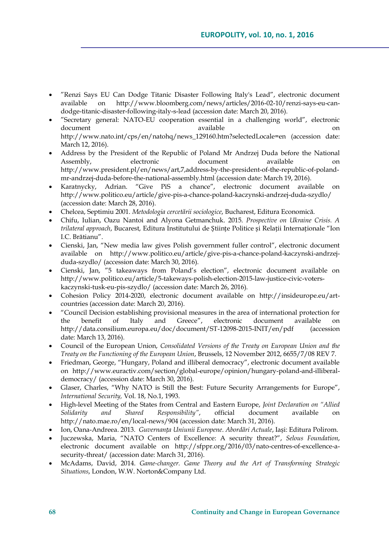- "Renzi Says EU Can Dodge Titanic Disaster Following Italy's Lead", electronic document available on [http://www.bloomberg.com/news/articles/2016-02-10/renzi-says-eu-can](http://www.bloomberg.com/news/articles/2016-02-10/renzi-says-eu-can-dodge-titanic-disaster-following-italy-s-lead)[dodge-titanic-disaster-following-italy-s-lead](http://www.bloomberg.com/news/articles/2016-02-10/renzi-says-eu-can-dodge-titanic-disaster-following-italy-s-lead) (accession date: March 20, 2016).
- "Secretary general: NATO-EU cooperation essential in a challenging world", electronic document available available contract on  $\alpha$ http://www.nato.int/cps/en/natohg/news\_129160.htm?selectedLocale=en (accession date: March 12, 2016).
- Address by the President of the Republic of Poland Mr Andrzej Duda before the National Assembly, electronic document available on [http://www.president.pl/en/news/art,7,address-by-the-president-of-the-republic-of-poland](http://www.president.pl/en/news/art,7,address-by-the-president-of-the-republic-of-poland-mr-andrzej-duda-before-the-national-assembly.html)[mr-andrzej-duda-before-the-national-assembly.html](http://www.president.pl/en/news/art,7,address-by-the-president-of-the-republic-of-poland-mr-andrzej-duda-before-the-national-assembly.html) (accession date: March 19, 2016).
- Karatnycky, Adrian. "Give PiS a chance", electronic document available on <http://www.politico.eu/article/give-pis-a-chance-poland-kaczynski-andrzej-duda-szydlo/> (accession date: March 28, 2016).
- Chelcea, Septimiu 2001. *Metodologia cercetării sociologice*, Bucharest, Editura Economică.
- Chifu, Iulian, Oazu Nantoi and Alyona Getmanchuk. 2015. *Prospective on Ukraine Crisis. A trilateral approach*, Bucarest, Editura Institutului de Științe Politice și Relații Internaționale "Ion I.C. Brătianu".
- Cienski, Jan, "New media law gives Polish government fuller control", electronic document available on [http://www.politico.eu/article/give-pis-a-chance-poland-kaczynski-andrzej](http://www.politico.eu/article/give-pis-a-chance-poland-kaczynski-andrzej-duda-szydlo/)[duda-szydlo/](http://www.politico.eu/article/give-pis-a-chance-poland-kaczynski-andrzej-duda-szydlo/) (accession date: March 30, 2016).
- Cienski, Jan, "5 takeaways from Poland's election", electronic document available on [http://www.politico.eu/article/5-takeways-polish-election-2015-law-justice-civic-voters](http://www.politico.eu/article/5-takeways-polish-election-2015-law-justice-civic-voters-kaczynski-tusk-eu-pis-szydlo/)[kaczynski-tusk-eu-pis-szydlo/](http://www.politico.eu/article/5-takeways-polish-election-2015-law-justice-civic-voters-kaczynski-tusk-eu-pis-szydlo/) (accession date: March 26, 2016).
- Cohesion Policy 2014-2020, electronic document available on [http://insideurope.eu/art](http://insideurope.eu/art-countries)[countries](http://insideurope.eu/art-countries) (accession date: March 20, 2016).
- "Council Decision establishing provisional measures in the area of international protection for the benefit of Italy and Greece", electronic document available on <http://data.consilium.europa.eu/doc/document/ST-12098-2015-INIT/en/pdf> (accession date: March 13, 2016).
- Council of the European Union, *Consolidated Versions of the Treaty on European Union and the Treaty on the Functioning of the European Union*, Brussels, 12 November 2012, 6655/7/08 REV 7.
- Friedman, George, "Hungary, Poland and illiberal democracy", electronic document available on [http://www.euractiv.com/section/global-europe/opinion/hungary-poland-and-illiberal](http://www.euractiv.com/section/global-europe/opinion/hungary-poland-and-illiberal-democracy/)[democracy/](http://www.euractiv.com/section/global-europe/opinion/hungary-poland-and-illiberal-democracy/) (accession date: March 30, 2016).
- Glaser, Charles, "Why NATO is Still the Best: Future Security Arrangements for Europe", *International Security,* Vol. 18, No.1, 1993.
- High-level Meeting of the States from Central and Eastern Europe, *Joint Declaration on "Allied Solidarity and Shared Responsibility"*, official document available on <http://nato.mae.ro/en/local-news/904> (accession date: March 31, 2016).
- Ion, Oana-Andreea. 2013. *Guvernanța Uniunii Europene*. *Abordări Actuale*, Iași: Editura Polirom.
- Juczewska, Maria, "NATO Centers of Excellence: A security threat?", *Selous Foundation*, electronic document available on [http://sfppr.org/2016/03/nato-centres-of-excellence-a](http://sfppr.org/2016/03/nato-centres-of-excellence-a-security-threat/)[security-threat/](http://sfppr.org/2016/03/nato-centres-of-excellence-a-security-threat/) (accession date: March 31, 2016).
- McAdams, David, 2014. *Game-changer. Game Theory and the Art of Transforming Strategic Situations*, London, W.W. Norton&Company Ltd.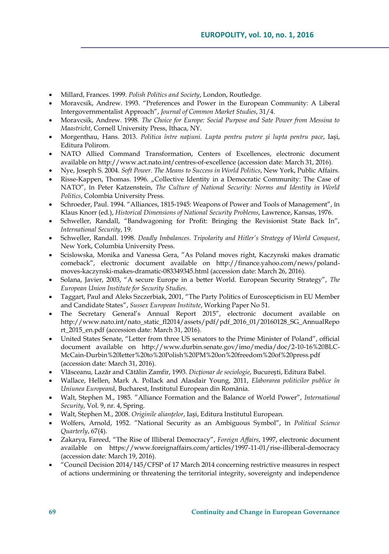- Millard, Frances. 1999. *Polish Politics and Society*, London, Routledge.
- Moravcsik, Andrew. 1993. "Preferences and Power in the European Community: A Liberal Intergovernmentalist Approach", *Journal of Common Market Studies*, 31/4.
- Moravcsik, Andrew. 1998. *The Choice for Europe: Social Purpose and Sate Power from Messina to Maastricht*, Cornell University Press, Ithaca, NY.
- Morgenthau, Hans. 2013. *Politica între națiuni. Lupta pentru putere și lupta pentru pace*, Iași, Editura Polirom.
- NATO Allied Command Transformation, Centers of Excellences, electronic document available o[n http://www.act.nato.int/centres-of-excellence](http://www.act.nato.int/centres-of-excellence) (accession date: March 31, 2016).
- Nye, Joseph S. 2004. *Soft Power. The Means to Success in World Politics*, New York, Public Affairs.
- Risse-Kappen, Thomas. 1996. "Collective Identity in a Democratic Community: The Case of NATO", în Peter Katzenstein, *The Culture of National Security: Norms and Identity in World Politics*, Colombia University Press.
- Schroeder, Paul. 1994. "Alliances, 1815-1945: Weapons of Power and Tools of Management", în Klaus Knorr (ed.), *Historical Dimensions of National Security Problems*, Lawrence, Kansas, 1976.
- Schweller, Randall, "Bandwagoning for Profit: Bringing the Revisionist State Back In", *International Security*, 19.
- Schweller, Randall. 1998. *Deadly Imbalances. Tripolarity and Hitler's Strategy of World Conquest*, New York, Columbia University Press.
- Scislowska, Monika and Vanessa Gera, "As Poland moves right, Kaczynski makes dramatic comeback", electronic document available on [http://finance.yahoo.com/news/poland](http://finance.yahoo.com/news/poland-moves-kaczynski-makes-dramatic-083349345.html)[moves-kaczynski-makes-dramatic-083349345.html](http://finance.yahoo.com/news/poland-moves-kaczynski-makes-dramatic-083349345.html) (accession date: March 26, 2016).
- Solana, Javier, 2003, "A secure Europe in a better World. European Security Strategy", *The European Union Institute for Security Studies*.
- Taggart, Paul and Aleks Szczerbiak, 2001, "The Party Politics of Euroscepticism in EU Member and Candidate States", *Sussex European Institute*, Working Paper No 51.
- The Secretary General's Annual Report 2015", electronic document available on [http://www.nato.int/nato\\_static\\_fl2014/assets/pdf/pdf\\_2016\\_01/20160128\\_SG\\_AnnualRepo](http://www.nato.int/nato_static_fl2014/assets/pdf/pdf_2016_01/20160128_SG_AnnualReport_2015_en.pdf) [rt\\_2015\\_en.pdf](http://www.nato.int/nato_static_fl2014/assets/pdf/pdf_2016_01/20160128_SG_AnnualReport_2015_en.pdf) (accession date: March 31, 2016).
- United States Senate, "Letter from three US senators to the Prime Minister of Poland", official document available on [http://www.durbin.senate.gov/imo/media/doc/2-10-16%20BLC-](http://www.durbin.senate.gov/imo/media/doc/2-10-16%20BLC-McCain-Durbin%20letter%20to%20Polish%20PM%20on%20freedom%20of%20press.pdf)[McCain-Durbin%20letter%20to%20Polish%20PM%20on%20freedom%20of%20press.pdf](http://www.durbin.senate.gov/imo/media/doc/2-10-16%20BLC-McCain-Durbin%20letter%20to%20Polish%20PM%20on%20freedom%20of%20press.pdf) (accession date: March 31, 2016).
- Vlăsceanu, Lazăr and Cătălin Zamfir, 1993. *Dicționar de sociologie*, București, Editura Babel.
- Wallace, Hellen, Mark A. Pollack and Alasdair Young, 2011, *Elaborarea politicilor publice în Uniunea Europeană*, Bucharest, Institutul European din România.
- Walt, Stephen M., 1985. "Alliance Formation and the Balance of World Power", *International Security*, Vol. 9, nr. 4, Spring.
- Walt, Stephen M., 2008. *Originile alianțelor*, Iași, Editura Institutul European.
- Wolfers, Arnold, 1952. "National Security as an Ambiguous Symbol", în *Political Science Quarterly*, 67(4).
- Zakarya, Fareed, "The Rise of Illiberal Democracy", *Foreign Affairs*, 1997, electronic document available on <https://www.foreignaffairs.com/articles/1997-11-01/rise-illiberal-democracy> (accession date: March 19, 2016).
- "Council Decision 2014/145/CFSP of 17 March 2014 concerning restrictive measures in respect of actions undermining or threatening the territorial integrity, sovereignty and independence